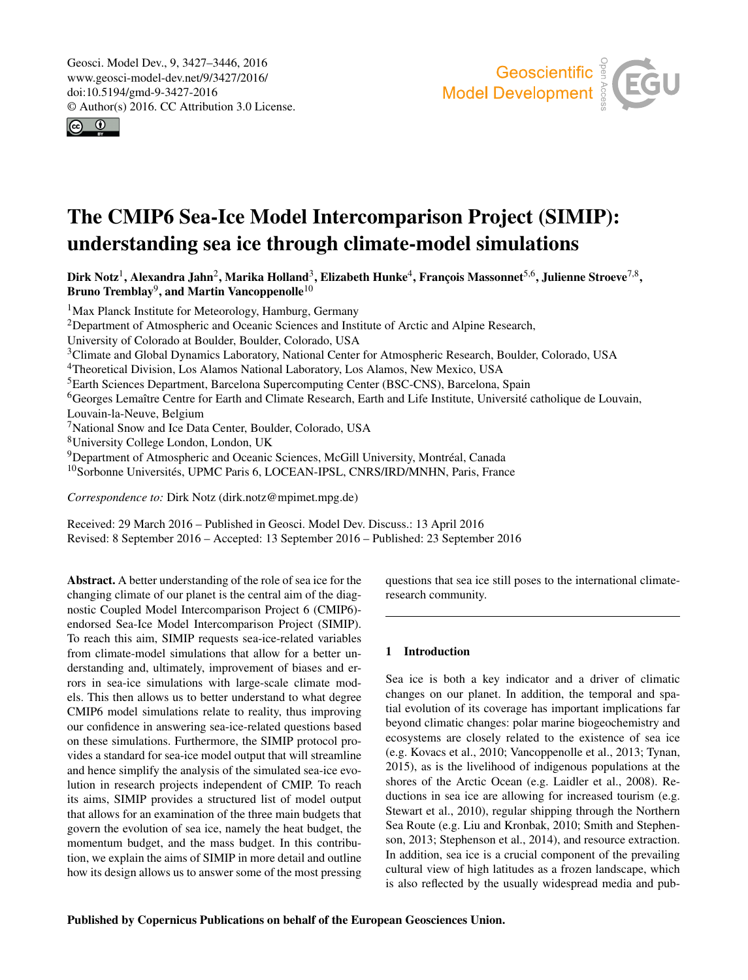<span id="page-0-1"></span>Geosci. Model Dev., 9, 3427–3446, 2016 www.geosci-model-dev.net/9/3427/2016/ doi:10.5194/gmd-9-3427-2016 © Author(s) 2016. CC Attribution 3.0 License.





# The CMIP6 Sea-Ice Model Intercomparison Project (SIMIP): understanding sea ice through climate-model simulations

Dirk Notz<sup>[1](#page-0-0)</sup>, Alexandra Jahn<sup>[2](#page-0-0)</sup>, Marika Holland<sup>[3](#page-0-0)</sup>, Elizabeth Hunke<sup>[4](#page-0-0)</sup>, François Massonnet<sup>[5,6](#page-0-0)</sup>, Julienne Stroeve<sup>[7,8](#page-0-0)</sup>, Bruno Tremblay $^9$  $^9$ , and Martin Vancoppenolle $^{10}$  $^{10}$  $^{10}$ 

<sup>1</sup>Max Planck Institute for Meteorology, Hamburg, Germany Department of Atmospheric and Oceanic Sciences and Institute of Arctic and Alpine Research, University of Colorado at Boulder, Boulder, Colorado, USA <sup>3</sup>Climate and Global Dynamics Laboratory, National Center for Atmospheric Research, Boulder, Colorado, USA Theoretical Division, Los Alamos National Laboratory, Los Alamos, New Mexico, USA Earth Sciences Department, Barcelona Supercomputing Center (BSC-CNS), Barcelona, Spain Georges Lemaître Centre for Earth and Climate Research, Earth and Life Institute, Université catholique de Louvain, Louvain-la-Neuve, Belgium National Snow and Ice Data Center, Boulder, Colorado, USA University College London, London, UK Department of Atmospheric and Oceanic Sciences, McGill University, Montréal, Canada Sorbonne Universités, UPMC Paris 6, LOCEAN-IPSL, CNRS/IRD/MNHN, Paris, France

*Correspondence to:* Dirk Notz (dirk.notz@mpimet.mpg.de)

Received: 29 March 2016 – Published in Geosci. Model Dev. Discuss.: 13 April 2016 Revised: 8 September 2016 – Accepted: 13 September 2016 – Published: 23 September 2016

<span id="page-0-0"></span>Abstract. A better understanding of the role of sea ice for the changing climate of our planet is the central aim of the diagnostic Coupled Model Intercomparison Project 6 (CMIP6) endorsed Sea-Ice Model Intercomparison Project (SIMIP). To reach this aim, SIMIP requests sea-ice-related variables from climate-model simulations that allow for a better understanding and, ultimately, improvement of biases and errors in sea-ice simulations with large-scale climate models. This then allows us to better understand to what degree CMIP6 model simulations relate to reality, thus improving our confidence in answering sea-ice-related questions based on these simulations. Furthermore, the SIMIP protocol provides a standard for sea-ice model output that will streamline and hence simplify the analysis of the simulated sea-ice evolution in research projects independent of CMIP. To reach its aims, SIMIP provides a structured list of model output that allows for an examination of the three main budgets that govern the evolution of sea ice, namely the heat budget, the momentum budget, and the mass budget. In this contribution, we explain the aims of SIMIP in more detail and outline how its design allows us to answer some of the most pressing

questions that sea ice still poses to the international climateresearch community.

## 1 Introduction

Sea ice is both a key indicator and a driver of climatic changes on our planet. In addition, the temporal and spatial evolution of its coverage has important implications far beyond climatic changes: polar marine biogeochemistry and ecosystems are closely related to the existence of sea ice (e.g. [Kovacs et al.,](#page-18-0) [2010;](#page-18-0) [Vancoppenolle et al.,](#page-19-0) [2013;](#page-19-0) [Tynan,](#page-19-1) [2015\)](#page-19-1), as is the livelihood of indigenous populations at the shores of the Arctic Ocean (e.g. [Laidler et al.,](#page-18-1) [2008\)](#page-18-1). Reductions in sea ice are allowing for increased tourism (e.g. [Stewart et al.,](#page-19-2) [2010\)](#page-19-2), regular shipping through the Northern Sea Route (e.g. [Liu and Kronbak,](#page-18-2) [2010;](#page-18-2) [Smith and Stephen](#page-19-3)[son,](#page-19-3) [2013;](#page-19-3) [Stephenson et al.,](#page-19-4) [2014\)](#page-19-4), and resource extraction. In addition, sea ice is a crucial component of the prevailing cultural view of high latitudes as a frozen landscape, which is also reflected by the usually widespread media and pub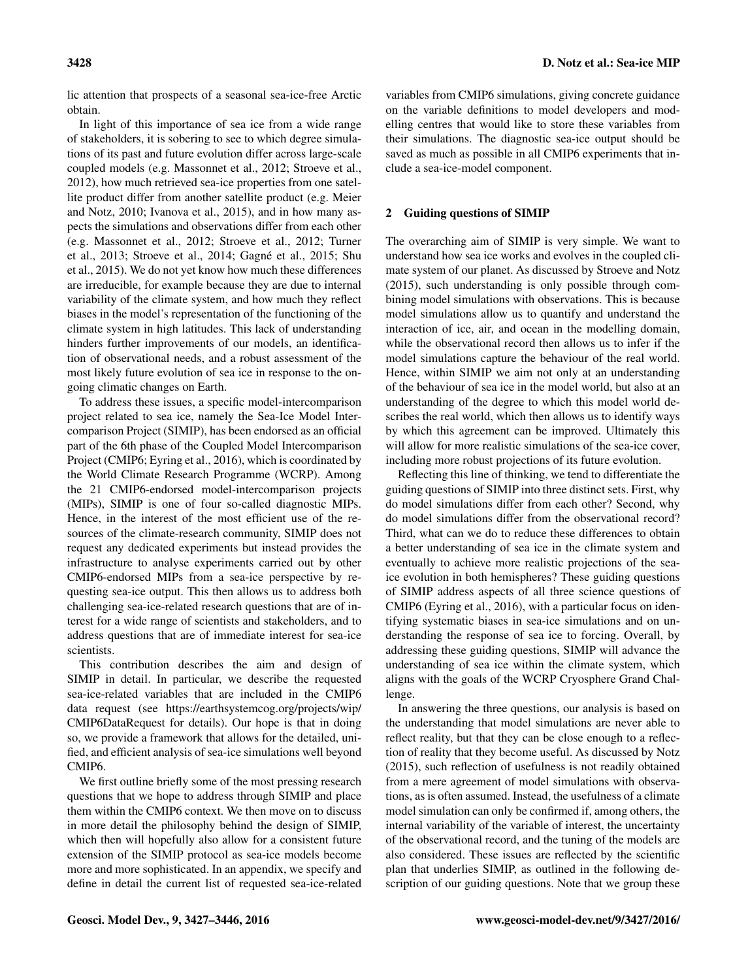lic attention that prospects of a seasonal sea-ice-free Arctic obtain.

In light of this importance of sea ice from a wide range of stakeholders, it is sobering to see to which degree simulations of its past and future evolution differ across large-scale coupled models (e.g. [Massonnet et al.,](#page-18-3) [2012;](#page-18-3) [Stroeve et al.,](#page-19-5) [2012\)](#page-19-5), how much retrieved sea-ice properties from one satellite product differ from another satellite product (e.g. [Meier](#page-18-4) [and Notz,](#page-18-4) [2010;](#page-18-4) [Ivanova et al.,](#page-18-5) [2015\)](#page-18-5), and in how many aspects the simulations and observations differ from each other (e.g. [Massonnet et al.,](#page-18-3) [2012;](#page-18-3) [Stroeve et al.,](#page-19-5) [2012;](#page-19-5) [Turner](#page-19-6) [et al.,](#page-19-6) [2013;](#page-19-6) [Stroeve et al.,](#page-19-7) [2014;](#page-19-7) [Gagné et al.,](#page-18-6) [2015;](#page-18-6) [Shu](#page-19-8) [et al.,](#page-19-8) [2015\)](#page-19-8). We do not yet know how much these differences are irreducible, for example because they are due to internal variability of the climate system, and how much they reflect biases in the model's representation of the functioning of the climate system in high latitudes. This lack of understanding hinders further improvements of our models, an identification of observational needs, and a robust assessment of the most likely future evolution of sea ice in response to the ongoing climatic changes on Earth.

To address these issues, a specific model-intercomparison project related to sea ice, namely the Sea-Ice Model Intercomparison Project (SIMIP), has been endorsed as an official part of the 6th phase of the Coupled Model Intercomparison Project (CMIP6; [Eyring et al.,](#page-18-7) [2016\)](#page-18-7), which is coordinated by the World Climate Research Programme (WCRP). Among the 21 CMIP6-endorsed model-intercomparison projects (MIPs), SIMIP is one of four so-called diagnostic MIPs. Hence, in the interest of the most efficient use of the resources of the climate-research community, SIMIP does not request any dedicated experiments but instead provides the infrastructure to analyse experiments carried out by other CMIP6-endorsed MIPs from a sea-ice perspective by requesting sea-ice output. This then allows us to address both challenging sea-ice-related research questions that are of interest for a wide range of scientists and stakeholders, and to address questions that are of immediate interest for sea-ice scientists.

This contribution describes the aim and design of SIMIP in detail. In particular, we describe the requested sea-ice-related variables that are included in the CMIP6 data request (see [https://earthsystemcog.org/projects/wip/](https://earthsystemcog.org/projects/wip/CMIP6DataRequest) [CMIP6DataRequest](https://earthsystemcog.org/projects/wip/CMIP6DataRequest) for details). Our hope is that in doing so, we provide a framework that allows for the detailed, unified, and efficient analysis of sea-ice simulations well beyond CMIP6.

We first outline briefly some of the most pressing research questions that we hope to address through SIMIP and place them within the CMIP6 context. We then move on to discuss in more detail the philosophy behind the design of SIMIP, which then will hopefully also allow for a consistent future extension of the SIMIP protocol as sea-ice models become more and more sophisticated. In an appendix, we specify and define in detail the current list of requested sea-ice-related variables from CMIP6 simulations, giving concrete guidance on the variable definitions to model developers and modelling centres that would like to store these variables from their simulations. The diagnostic sea-ice output should be saved as much as possible in all CMIP6 experiments that include a sea-ice-model component.

#### 2 Guiding questions of SIMIP

The overarching aim of SIMIP is very simple. We want to understand how sea ice works and evolves in the coupled climate system of our planet. As discussed by [Stroeve and Notz](#page-19-9) [\(2015\)](#page-19-9), such understanding is only possible through combining model simulations with observations. This is because model simulations allow us to quantify and understand the interaction of ice, air, and ocean in the modelling domain, while the observational record then allows us to infer if the model simulations capture the behaviour of the real world. Hence, within SIMIP we aim not only at an understanding of the behaviour of sea ice in the model world, but also at an understanding of the degree to which this model world describes the real world, which then allows us to identify ways by which this agreement can be improved. Ultimately this will allow for more realistic simulations of the sea-ice cover, including more robust projections of its future evolution.

Reflecting this line of thinking, we tend to differentiate the guiding questions of SIMIP into three distinct sets. First, why do model simulations differ from each other? Second, why do model simulations differ from the observational record? Third, what can we do to reduce these differences to obtain a better understanding of sea ice in the climate system and eventually to achieve more realistic projections of the seaice evolution in both hemispheres? These guiding questions of SIMIP address aspects of all three science questions of CMIP6 [\(Eyring et al.,](#page-18-7) [2016\)](#page-18-7), with a particular focus on identifying systematic biases in sea-ice simulations and on understanding the response of sea ice to forcing. Overall, by addressing these guiding questions, SIMIP will advance the understanding of sea ice within the climate system, which aligns with the goals of the WCRP Cryosphere Grand Challenge.

In answering the three questions, our analysis is based on the understanding that model simulations are never able to reflect reality, but that they can be close enough to a reflection of reality that they become useful. As discussed by [Notz](#page-18-8) [\(2015\)](#page-18-8), such reflection of usefulness is not readily obtained from a mere agreement of model simulations with observations, as is often assumed. Instead, the usefulness of a climate model simulation can only be confirmed if, among others, the internal variability of the variable of interest, the uncertainty of the observational record, and the tuning of the models are also considered. These issues are reflected by the scientific plan that underlies SIMIP, as outlined in the following description of our guiding questions. Note that we group these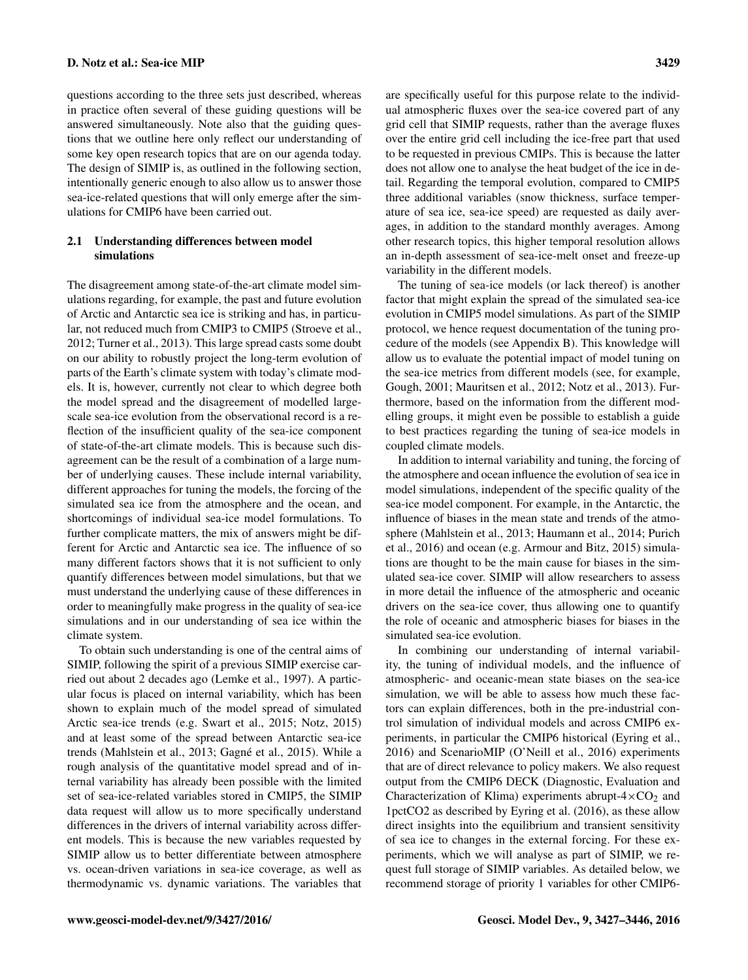questions according to the three sets just described, whereas in practice often several of these guiding questions will be answered simultaneously. Note also that the guiding questions that we outline here only reflect our understanding of some key open research topics that are on our agenda today. The design of SIMIP is, as outlined in the following section, intentionally generic enough to also allow us to answer those sea-ice-related questions that will only emerge after the simulations for CMIP6 have been carried out.

#### <span id="page-2-0"></span>2.1 Understanding differences between model simulations

The disagreement among state-of-the-art climate model simulations regarding, for example, the past and future evolution of Arctic and Antarctic sea ice is striking and has, in particular, not reduced much from CMIP3 to CMIP5 [\(Stroeve et al.,](#page-19-5) [2012;](#page-19-5) [Turner et al.,](#page-19-6) [2013\)](#page-19-6). This large spread casts some doubt on our ability to robustly project the long-term evolution of parts of the Earth's climate system with today's climate models. It is, however, currently not clear to which degree both the model spread and the disagreement of modelled largescale sea-ice evolution from the observational record is a reflection of the insufficient quality of the sea-ice component of state-of-the-art climate models. This is because such disagreement can be the result of a combination of a large number of underlying causes. These include internal variability, different approaches for tuning the models, the forcing of the simulated sea ice from the atmosphere and the ocean, and shortcomings of individual sea-ice model formulations. To further complicate matters, the mix of answers might be different for Arctic and Antarctic sea ice. The influence of so many different factors shows that it is not sufficient to only quantify differences between model simulations, but that we must understand the underlying cause of these differences in order to meaningfully make progress in the quality of sea-ice simulations and in our understanding of sea ice within the climate system.

To obtain such understanding is one of the central aims of SIMIP, following the spirit of a previous SIMIP exercise carried out about 2 decades ago [\(Lemke et al.,](#page-18-9) [1997\)](#page-18-9). A particular focus is placed on internal variability, which has been shown to explain much of the model spread of simulated Arctic sea-ice trends (e.g. [Swart et al.,](#page-19-10) [2015;](#page-19-10) [Notz,](#page-18-8) [2015\)](#page-18-8) and at least some of the spread between Antarctic sea-ice trends [\(Mahlstein et al.,](#page-18-10) [2013;](#page-18-10) [Gagné et al.,](#page-18-6) [2015\)](#page-18-6). While a rough analysis of the quantitative model spread and of internal variability has already been possible with the limited set of sea-ice-related variables stored in CMIP5, the SIMIP data request will allow us to more specifically understand differences in the drivers of internal variability across different models. This is because the new variables requested by SIMIP allow us to better differentiate between atmosphere vs. ocean-driven variations in sea-ice coverage, as well as thermodynamic vs. dynamic variations. The variables that

are specifically useful for this purpose relate to the individual atmospheric fluxes over the sea-ice covered part of any grid cell that SIMIP requests, rather than the average fluxes over the entire grid cell including the ice-free part that used to be requested in previous CMIPs. This is because the latter does not allow one to analyse the heat budget of the ice in detail. Regarding the temporal evolution, compared to CMIP5 three additional variables (snow thickness, surface temperature of sea ice, sea-ice speed) are requested as daily averages, in addition to the standard monthly averages. Among other research topics, this higher temporal resolution allows an in-depth assessment of sea-ice-melt onset and freeze-up variability in the different models.

The tuning of sea-ice models (or lack thereof) is another factor that might explain the spread of the simulated sea-ice evolution in CMIP5 model simulations. As part of the SIMIP protocol, we hence request documentation of the tuning procedure of the models (see Appendix [B\)](#page-7-0). This knowledge will allow us to evaluate the potential impact of model tuning on the sea-ice metrics from different models (see, for example, [Gough,](#page-18-11) [2001;](#page-18-11) [Mauritsen et al.,](#page-18-12) [2012;](#page-18-12) [Notz et al.,](#page-18-13) [2013\)](#page-18-13). Furthermore, based on the information from the different modelling groups, it might even be possible to establish a guide to best practices regarding the tuning of sea-ice models in coupled climate models.

In addition to internal variability and tuning, the forcing of the atmosphere and ocean influence the evolution of sea ice in model simulations, independent of the specific quality of the sea-ice model component. For example, in the Antarctic, the influence of biases in the mean state and trends of the atmosphere [\(Mahlstein et al.,](#page-18-10) [2013;](#page-18-10) [Haumann et al.,](#page-18-14) [2014;](#page-18-14) [Purich](#page-19-11) [et al.,](#page-19-11) [2016\)](#page-19-11) and ocean (e.g. [Armour and Bitz,](#page-18-15) [2015\)](#page-18-15) simulations are thought to be the main cause for biases in the simulated sea-ice cover. SIMIP will allow researchers to assess in more detail the influence of the atmospheric and oceanic drivers on the sea-ice cover, thus allowing one to quantify the role of oceanic and atmospheric biases for biases in the simulated sea-ice evolution.

In combining our understanding of internal variability, the tuning of individual models, and the influence of atmospheric- and oceanic-mean state biases on the sea-ice simulation, we will be able to assess how much these factors can explain differences, both in the pre-industrial control simulation of individual models and across CMIP6 experiments, in particular the CMIP6 historical [\(Eyring et al.,](#page-18-7) [2016\)](#page-18-7) and ScenarioMIP [\(O'Neill et al.,](#page-19-12) [2016\)](#page-19-12) experiments that are of direct relevance to policy makers. We also request output from the CMIP6 DECK (Diagnostic, Evaluation and Characterization of Klima) experiments abrupt- $4 \times CO<sub>2</sub>$  and 1pctCO2 as described by [Eyring et al.](#page-18-7) [\(2016\)](#page-18-7), as these allow direct insights into the equilibrium and transient sensitivity of sea ice to changes in the external forcing. For these experiments, which we will analyse as part of SIMIP, we request full storage of SIMIP variables. As detailed below, we recommend storage of priority 1 variables for other CMIP6-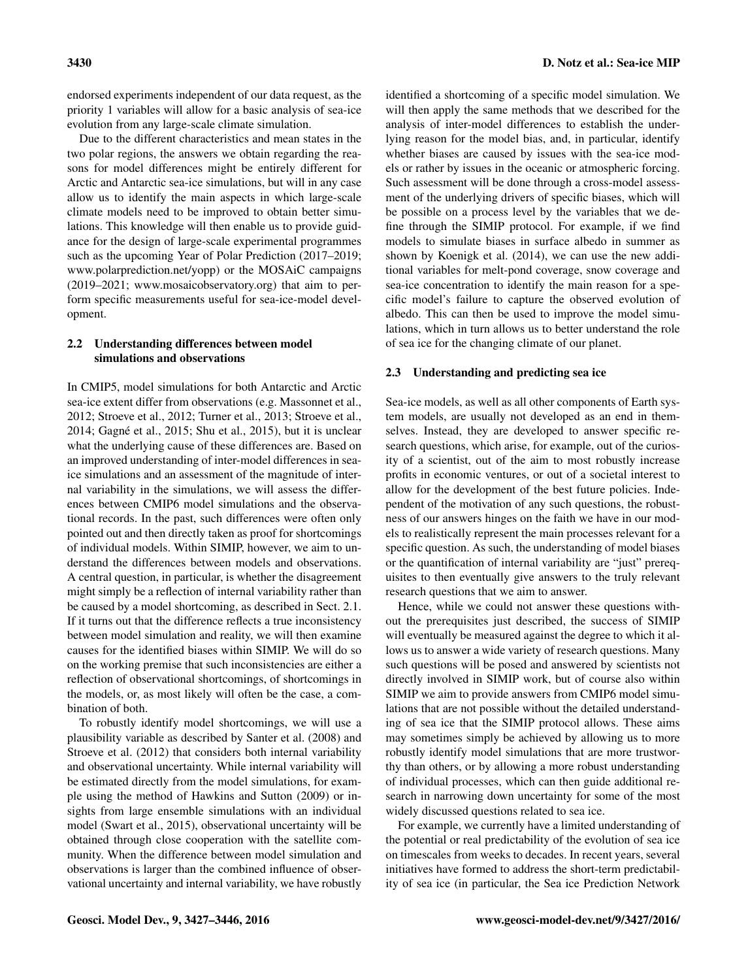Due to the different characteristics and mean states in the two polar regions, the answers we obtain regarding the reasons for model differences might be entirely different for Arctic and Antarctic sea-ice simulations, but will in any case allow us to identify the main aspects in which large-scale climate models need to be improved to obtain better simulations. This knowledge will then enable us to provide guidance for the design of large-scale experimental programmes such as the upcoming Year of Polar Prediction (2017–2019; [www.polarprediction.net/yopp\)](www.polarprediction.net/yopp) or the MOSAiC campaigns (2019–2021; [www.mosaicobservatory.org\)](www.mosaicobservatory.org) that aim to perform specific measurements useful for sea-ice-model development.

## 2.2 Understanding differences between model simulations and observations

In CMIP5, model simulations for both Antarctic and Arctic sea-ice extent differ from observations (e.g. [Massonnet et al.,](#page-18-3) [2012;](#page-18-3) [Stroeve et al.,](#page-19-5) [2012;](#page-19-5) [Turner et al.,](#page-19-6) [2013;](#page-19-6) [Stroeve et al.,](#page-19-7) [2014;](#page-19-7) [Gagné et al.,](#page-18-6) [2015;](#page-18-6) [Shu et al.,](#page-19-8) [2015\)](#page-19-8), but it is unclear what the underlying cause of these differences are. Based on an improved understanding of inter-model differences in seaice simulations and an assessment of the magnitude of internal variability in the simulations, we will assess the differences between CMIP6 model simulations and the observational records. In the past, such differences were often only pointed out and then directly taken as proof for shortcomings of individual models. Within SIMIP, however, we aim to understand the differences between models and observations. A central question, in particular, is whether the disagreement might simply be a reflection of internal variability rather than be caused by a model shortcoming, as described in Sect. [2.1.](#page-2-0) If it turns out that the difference reflects a true inconsistency between model simulation and reality, we will then examine causes for the identified biases within SIMIP. We will do so on the working premise that such inconsistencies are either a reflection of observational shortcomings, of shortcomings in the models, or, as most likely will often be the case, a combination of both.

To robustly identify model shortcomings, we will use a plausibility variable as described by [Santer et al.](#page-19-13) [\(2008\)](#page-19-13) and [Stroeve et al.](#page-19-5) [\(2012\)](#page-19-5) that considers both internal variability and observational uncertainty. While internal variability will be estimated directly from the model simulations, for example using the method of [Hawkins and Sutton](#page-18-16) [\(2009\)](#page-18-16) or insights from large ensemble simulations with an individual model [\(Swart et al.,](#page-19-10) [2015\)](#page-19-10), observational uncertainty will be obtained through close cooperation with the satellite community. When the difference between model simulation and observations is larger than the combined influence of observational uncertainty and internal variability, we have robustly identified a shortcoming of a specific model simulation. We will then apply the same methods that we described for the analysis of inter-model differences to establish the underlying reason for the model bias, and, in particular, identify whether biases are caused by issues with the sea-ice models or rather by issues in the oceanic or atmospheric forcing. Such assessment will be done through a cross-model assessment of the underlying drivers of specific biases, which will be possible on a process level by the variables that we define through the SIMIP protocol. For example, if we find models to simulate biases in surface albedo in summer as shown by [Koenigk et al.](#page-18-17) [\(2014\)](#page-18-17), we can use the new additional variables for melt-pond coverage, snow coverage and sea-ice concentration to identify the main reason for a specific model's failure to capture the observed evolution of albedo. This can then be used to improve the model simulations, which in turn allows us to better understand the role of sea ice for the changing climate of our planet.

#### 2.3 Understanding and predicting sea ice

Sea-ice models, as well as all other components of Earth system models, are usually not developed as an end in themselves. Instead, they are developed to answer specific research questions, which arise, for example, out of the curiosity of a scientist, out of the aim to most robustly increase profits in economic ventures, or out of a societal interest to allow for the development of the best future policies. Independent of the motivation of any such questions, the robustness of our answers hinges on the faith we have in our models to realistically represent the main processes relevant for a specific question. As such, the understanding of model biases or the quantification of internal variability are "just" prerequisites to then eventually give answers to the truly relevant research questions that we aim to answer.

Hence, while we could not answer these questions without the prerequisites just described, the success of SIMIP will eventually be measured against the degree to which it allows us to answer a wide variety of research questions. Many such questions will be posed and answered by scientists not directly involved in SIMIP work, but of course also within SIMIP we aim to provide answers from CMIP6 model simulations that are not possible without the detailed understanding of sea ice that the SIMIP protocol allows. These aims may sometimes simply be achieved by allowing us to more robustly identify model simulations that are more trustworthy than others, or by allowing a more robust understanding of individual processes, which can then guide additional research in narrowing down uncertainty for some of the most widely discussed questions related to sea ice.

For example, we currently have a limited understanding of the potential or real predictability of the evolution of sea ice on timescales from weeks to decades. In recent years, several initiatives have formed to address the short-term predictability of sea ice (in particular, the Sea ice Prediction Network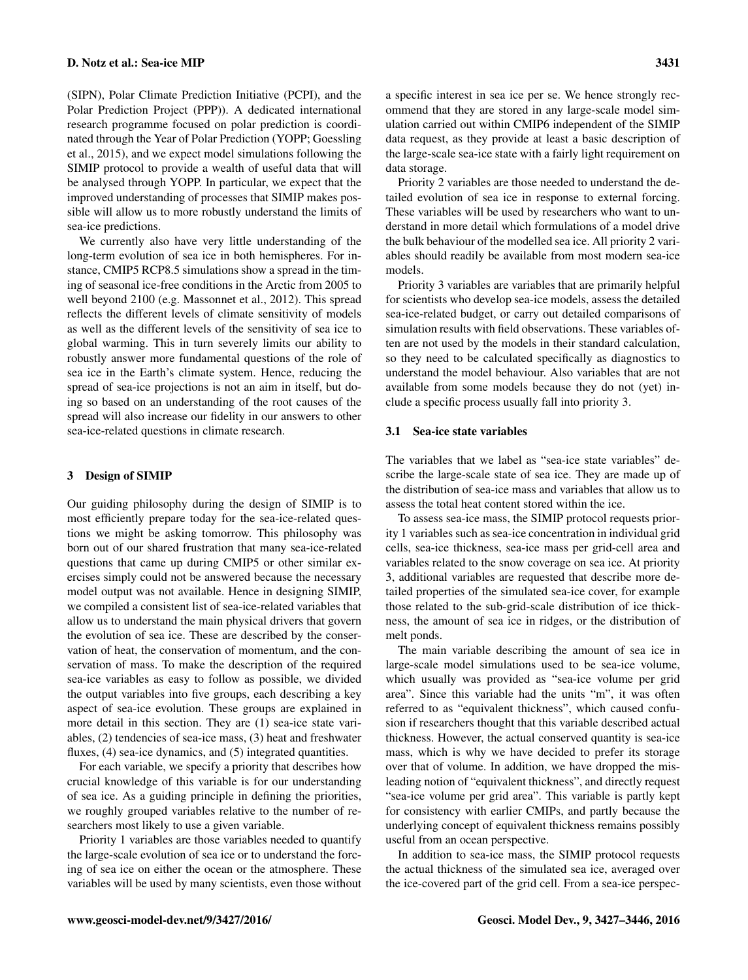(SIPN), Polar Climate Prediction Initiative (PCPI), and the Polar Prediction Project (PPP)). A dedicated international research programme focused on polar prediction is coordinated through the Year of Polar Prediction (YOPP; [Goessling](#page-18-18) [et al.,](#page-18-18) [2015\)](#page-18-18), and we expect model simulations following the SIMIP protocol to provide a wealth of useful data that will be analysed through YOPP. In particular, we expect that the improved understanding of processes that SIMIP makes possible will allow us to more robustly understand the limits of sea-ice predictions.

We currently also have very little understanding of the long-term evolution of sea ice in both hemispheres. For instance, CMIP5 RCP8.5 simulations show a spread in the timing of seasonal ice-free conditions in the Arctic from 2005 to well beyond 2100 (e.g. [Massonnet et al.,](#page-18-3) [2012\)](#page-18-3). This spread reflects the different levels of climate sensitivity of models as well as the different levels of the sensitivity of sea ice to global warming. This in turn severely limits our ability to robustly answer more fundamental questions of the role of sea ice in the Earth's climate system. Hence, reducing the spread of sea-ice projections is not an aim in itself, but doing so based on an understanding of the root causes of the spread will also increase our fidelity in our answers to other sea-ice-related questions in climate research.

#### 3 Design of SIMIP

Our guiding philosophy during the design of SIMIP is to most efficiently prepare today for the sea-ice-related questions we might be asking tomorrow. This philosophy was born out of our shared frustration that many sea-ice-related questions that came up during CMIP5 or other similar exercises simply could not be answered because the necessary model output was not available. Hence in designing SIMIP, we compiled a consistent list of sea-ice-related variables that allow us to understand the main physical drivers that govern the evolution of sea ice. These are described by the conservation of heat, the conservation of momentum, and the conservation of mass. To make the description of the required sea-ice variables as easy to follow as possible, we divided the output variables into five groups, each describing a key aspect of sea-ice evolution. These groups are explained in more detail in this section. They are (1) sea-ice state variables, (2) tendencies of sea-ice mass, (3) heat and freshwater fluxes, (4) sea-ice dynamics, and (5) integrated quantities.

For each variable, we specify a priority that describes how crucial knowledge of this variable is for our understanding of sea ice. As a guiding principle in defining the priorities, we roughly grouped variables relative to the number of researchers most likely to use a given variable.

Priority 1 variables are those variables needed to quantify the large-scale evolution of sea ice or to understand the forcing of sea ice on either the ocean or the atmosphere. These variables will be used by many scientists, even those without a specific interest in sea ice per se. We hence strongly recommend that they are stored in any large-scale model simulation carried out within CMIP6 independent of the SIMIP data request, as they provide at least a basic description of the large-scale sea-ice state with a fairly light requirement on data storage.

Priority 2 variables are those needed to understand the detailed evolution of sea ice in response to external forcing. These variables will be used by researchers who want to understand in more detail which formulations of a model drive the bulk behaviour of the modelled sea ice. All priority 2 variables should readily be available from most modern sea-ice models.

Priority 3 variables are variables that are primarily helpful for scientists who develop sea-ice models, assess the detailed sea-ice-related budget, or carry out detailed comparisons of simulation results with field observations. These variables often are not used by the models in their standard calculation, so they need to be calculated specifically as diagnostics to understand the model behaviour. Also variables that are not available from some models because they do not (yet) include a specific process usually fall into priority 3.

#### 3.1 Sea-ice state variables

The variables that we label as "sea-ice state variables" describe the large-scale state of sea ice. They are made up of the distribution of sea-ice mass and variables that allow us to assess the total heat content stored within the ice.

To assess sea-ice mass, the SIMIP protocol requests priority 1 variables such as sea-ice concentration in individual grid cells, sea-ice thickness, sea-ice mass per grid-cell area and variables related to the snow coverage on sea ice. At priority 3, additional variables are requested that describe more detailed properties of the simulated sea-ice cover, for example those related to the sub-grid-scale distribution of ice thickness, the amount of sea ice in ridges, or the distribution of melt ponds.

The main variable describing the amount of sea ice in large-scale model simulations used to be sea-ice volume, which usually was provided as "sea-ice volume per grid area". Since this variable had the units "m", it was often referred to as "equivalent thickness", which caused confusion if researchers thought that this variable described actual thickness. However, the actual conserved quantity is sea-ice mass, which is why we have decided to prefer its storage over that of volume. In addition, we have dropped the misleading notion of "equivalent thickness", and directly request "sea-ice volume per grid area". This variable is partly kept for consistency with earlier CMIPs, and partly because the underlying concept of equivalent thickness remains possibly useful from an ocean perspective.

In addition to sea-ice mass, the SIMIP protocol requests the actual thickness of the simulated sea ice, averaged over the ice-covered part of the grid cell. From a sea-ice perspec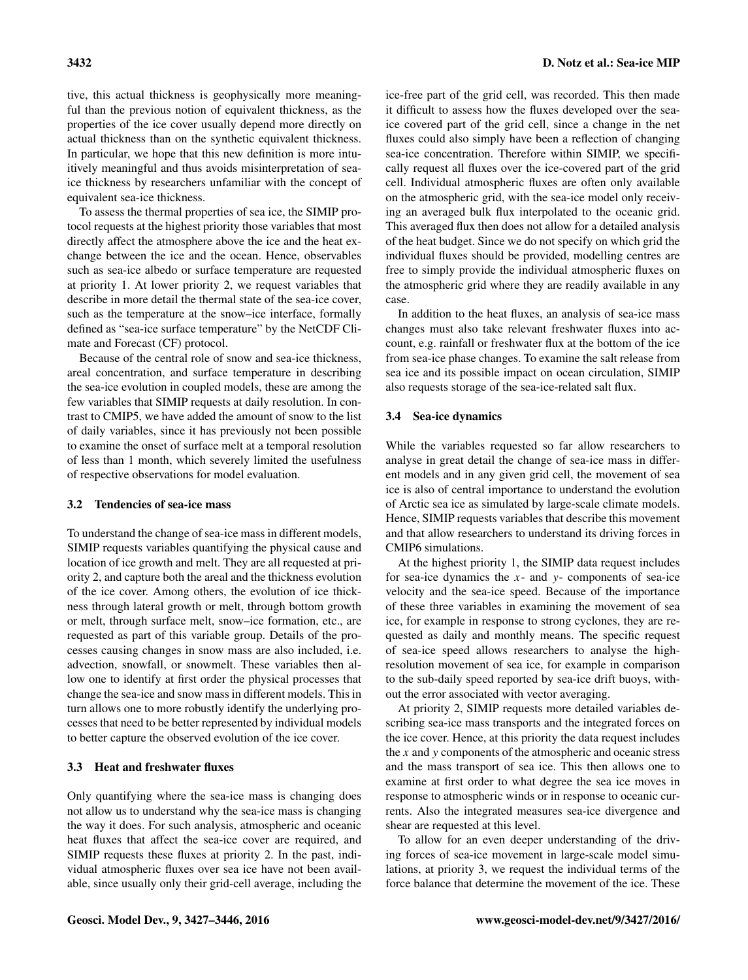tive, this actual thickness is geophysically more meaningful than the previous notion of equivalent thickness, as the properties of the ice cover usually depend more directly on actual thickness than on the synthetic equivalent thickness. In particular, we hope that this new definition is more intuitively meaningful and thus avoids misinterpretation of seaice thickness by researchers unfamiliar with the concept of equivalent sea-ice thickness.

To assess the thermal properties of sea ice, the SIMIP protocol requests at the highest priority those variables that most directly affect the atmosphere above the ice and the heat exchange between the ice and the ocean. Hence, observables such as sea-ice albedo or surface temperature are requested at priority 1. At lower priority 2, we request variables that describe in more detail the thermal state of the sea-ice cover, such as the temperature at the snow–ice interface, formally defined as "sea-ice surface temperature" by the NetCDF Climate and Forecast (CF) protocol.

Because of the central role of snow and sea-ice thickness, areal concentration, and surface temperature in describing the sea-ice evolution in coupled models, these are among the few variables that SIMIP requests at daily resolution. In contrast to CMIP5, we have added the amount of snow to the list of daily variables, since it has previously not been possible to examine the onset of surface melt at a temporal resolution of less than 1 month, which severely limited the usefulness of respective observations for model evaluation.

#### 3.2 Tendencies of sea-ice mass

To understand the change of sea-ice mass in different models, SIMIP requests variables quantifying the physical cause and location of ice growth and melt. They are all requested at priority 2, and capture both the areal and the thickness evolution of the ice cover. Among others, the evolution of ice thickness through lateral growth or melt, through bottom growth or melt, through surface melt, snow–ice formation, etc., are requested as part of this variable group. Details of the processes causing changes in snow mass are also included, i.e. advection, snowfall, or snowmelt. These variables then allow one to identify at first order the physical processes that change the sea-ice and snow mass in different models. This in turn allows one to more robustly identify the underlying processes that need to be better represented by individual models to better capture the observed evolution of the ice cover.

#### 3.3 Heat and freshwater fluxes

Only quantifying where the sea-ice mass is changing does not allow us to understand why the sea-ice mass is changing the way it does. For such analysis, atmospheric and oceanic heat fluxes that affect the sea-ice cover are required, and SIMIP requests these fluxes at priority 2. In the past, individual atmospheric fluxes over sea ice have not been available, since usually only their grid-cell average, including the ice-free part of the grid cell, was recorded. This then made it difficult to assess how the fluxes developed over the seaice covered part of the grid cell, since a change in the net fluxes could also simply have been a reflection of changing sea-ice concentration. Therefore within SIMIP, we specifically request all fluxes over the ice-covered part of the grid cell. Individual atmospheric fluxes are often only available on the atmospheric grid, with the sea-ice model only receiving an averaged bulk flux interpolated to the oceanic grid. This averaged flux then does not allow for a detailed analysis of the heat budget. Since we do not specify on which grid the individual fluxes should be provided, modelling centres are free to simply provide the individual atmospheric fluxes on the atmospheric grid where they are readily available in any case.

In addition to the heat fluxes, an analysis of sea-ice mass changes must also take relevant freshwater fluxes into account, e.g. rainfall or freshwater flux at the bottom of the ice from sea-ice phase changes. To examine the salt release from sea ice and its possible impact on ocean circulation, SIMIP also requests storage of the sea-ice-related salt flux.

#### 3.4 Sea-ice dynamics

While the variables requested so far allow researchers to analyse in great detail the change of sea-ice mass in different models and in any given grid cell, the movement of sea ice is also of central importance to understand the evolution of Arctic sea ice as simulated by large-scale climate models. Hence, SIMIP requests variables that describe this movement and that allow researchers to understand its driving forces in CMIP6 simulations.

At the highest priority 1, the SIMIP data request includes for sea-ice dynamics the  $x$ - and  $y$ - components of sea-ice velocity and the sea-ice speed. Because of the importance of these three variables in examining the movement of sea ice, for example in response to strong cyclones, they are requested as daily and monthly means. The specific request of sea-ice speed allows researchers to analyse the highresolution movement of sea ice, for example in comparison to the sub-daily speed reported by sea-ice drift buoys, without the error associated with vector averaging.

At priority 2, SIMIP requests more detailed variables describing sea-ice mass transports and the integrated forces on the ice cover. Hence, at this priority the data request includes the  $x$  and  $y$  components of the atmospheric and oceanic stress and the mass transport of sea ice. This then allows one to examine at first order to what degree the sea ice moves in response to atmospheric winds or in response to oceanic currents. Also the integrated measures sea-ice divergence and shear are requested at this level.

To allow for an even deeper understanding of the driving forces of sea-ice movement in large-scale model simulations, at priority 3, we request the individual terms of the force balance that determine the movement of the ice. These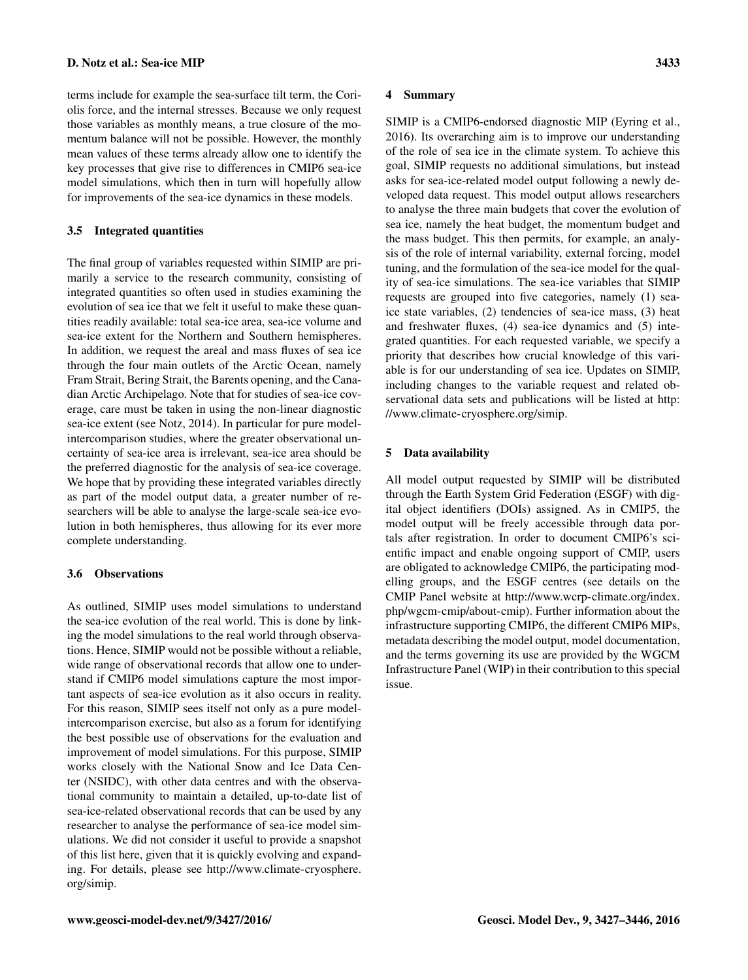terms include for example the sea-surface tilt term, the Coriolis force, and the internal stresses. Because we only request those variables as monthly means, a true closure of the momentum balance will not be possible. However, the monthly mean values of these terms already allow one to identify the key processes that give rise to differences in CMIP6 sea-ice model simulations, which then in turn will hopefully allow for improvements of the sea-ice dynamics in these models.

#### 3.5 Integrated quantities

The final group of variables requested within SIMIP are primarily a service to the research community, consisting of integrated quantities so often used in studies examining the evolution of sea ice that we felt it useful to make these quantities readily available: total sea-ice area, sea-ice volume and sea-ice extent for the Northern and Southern hemispheres. In addition, we request the areal and mass fluxes of sea ice through the four main outlets of the Arctic Ocean, namely Fram Strait, Bering Strait, the Barents opening, and the Canadian Arctic Archipelago. Note that for studies of sea-ice coverage, care must be taken in using the non-linear diagnostic sea-ice extent (see [Notz,](#page-18-19) [2014\)](#page-18-19). In particular for pure modelintercomparison studies, where the greater observational uncertainty of sea-ice area is irrelevant, sea-ice area should be the preferred diagnostic for the analysis of sea-ice coverage. We hope that by providing these integrated variables directly as part of the model output data, a greater number of researchers will be able to analyse the large-scale sea-ice evolution in both hemispheres, thus allowing for its ever more complete understanding.

## 3.6 Observations

As outlined, SIMIP uses model simulations to understand the sea-ice evolution of the real world. This is done by linking the model simulations to the real world through observations. Hence, SIMIP would not be possible without a reliable, wide range of observational records that allow one to understand if CMIP6 model simulations capture the most important aspects of sea-ice evolution as it also occurs in reality. For this reason, SIMIP sees itself not only as a pure modelintercomparison exercise, but also as a forum for identifying the best possible use of observations for the evaluation and improvement of model simulations. For this purpose, SIMIP works closely with the National Snow and Ice Data Center (NSIDC), with other data centres and with the observational community to maintain a detailed, up-to-date list of sea-ice-related observational records that can be used by any researcher to analyse the performance of sea-ice model simulations. We did not consider it useful to provide a snapshot of this list here, given that it is quickly evolving and expanding. For details, please see [http://www.climate-cryosphere.](http://www.climate-cryosphere.org/simip) [org/simip.](http://www.climate-cryosphere.org/simip)

#### 4 Summary

SIMIP is a CMIP6-endorsed diagnostic MIP [\(Eyring et al.,](#page-18-7) [2016\)](#page-18-7). Its overarching aim is to improve our understanding of the role of sea ice in the climate system. To achieve this goal, SIMIP requests no additional simulations, but instead asks for sea-ice-related model output following a newly developed data request. This model output allows researchers to analyse the three main budgets that cover the evolution of sea ice, namely the heat budget, the momentum budget and the mass budget. This then permits, for example, an analysis of the role of internal variability, external forcing, model tuning, and the formulation of the sea-ice model for the quality of sea-ice simulations. The sea-ice variables that SIMIP requests are grouped into five categories, namely (1) seaice state variables, (2) tendencies of sea-ice mass, (3) heat and freshwater fluxes, (4) sea-ice dynamics and (5) integrated quantities. For each requested variable, we specify a priority that describes how crucial knowledge of this variable is for our understanding of sea ice. Updates on SIMIP, including changes to the variable request and related observational data sets and publications will be listed at [http:](http://www.climate-cryosphere.org/simip) [//www.climate-cryosphere.org/simip.](http://www.climate-cryosphere.org/simip)

#### 5 Data availability

All model output requested by SIMIP will be distributed through the Earth System Grid Federation (ESGF) with digital object identifiers (DOIs) assigned. As in CMIP5, the model output will be freely accessible through data portals after registration. In order to document CMIP6's scientific impact and enable ongoing support of CMIP, users are obligated to acknowledge CMIP6, the participating modelling groups, and the ESGF centres (see details on the CMIP Panel website at [http://www.wcrp-climate.org/index.](http://www.wcrp-climate.org/index.php/wgcm-cmip/about-cmip) [php/wgcm-cmip/about-cmip\)](http://www.wcrp-climate.org/index.php/wgcm-cmip/about-cmip). Further information about the infrastructure supporting CMIP6, the different CMIP6 MIPs, metadata describing the model output, model documentation, and the terms governing its use are provided by the WGCM Infrastructure Panel (WIP) in their contribution to this special issue.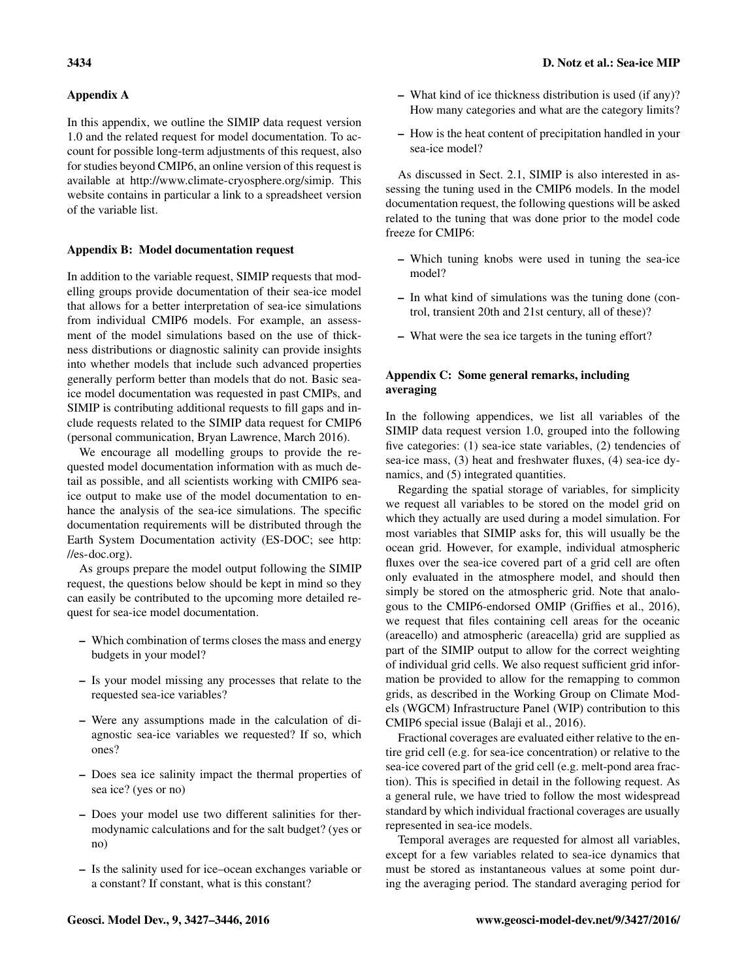# Appendix A

In this appendix, we outline the SIMIP data request version 1.0 and the related request for model documentation. To account for possible long-term adjustments of this request, also for studies beyond CMIP6, an online version of this request is available at [http://www.climate-cryosphere.org/simip.](http://www.climate-cryosphere.org/simip) This website contains in particular a link to a spreadsheet version of the variable list.

## <span id="page-7-0"></span>Appendix B: Model documentation request

In addition to the variable request, SIMIP requests that modelling groups provide documentation of their sea-ice model that allows for a better interpretation of sea-ice simulations from individual CMIP6 models. For example, an assessment of the model simulations based on the use of thickness distributions or diagnostic salinity can provide insights into whether models that include such advanced properties generally perform better than models that do not. Basic seaice model documentation was requested in past CMIPs, and SIMIP is contributing additional requests to fill gaps and include requests related to the SIMIP data request for CMIP6 (personal communication, Bryan Lawrence, March 2016).

We encourage all modelling groups to provide the requested model documentation information with as much detail as possible, and all scientists working with CMIP6 seaice output to make use of the model documentation to enhance the analysis of the sea-ice simulations. The specific documentation requirements will be distributed through the Earth System Documentation activity (ES-DOC; see [http:](http://es-doc.org) [//es-doc.org\)](http://es-doc.org).

As groups prepare the model output following the SIMIP request, the questions below should be kept in mind so they can easily be contributed to the upcoming more detailed request for sea-ice model documentation.

- Which combination of terms closes the mass and energy budgets in your model?
- Is your model missing any processes that relate to the requested sea-ice variables?
- Were any assumptions made in the calculation of diagnostic sea-ice variables we requested? If so, which ones?
- Does sea ice salinity impact the thermal properties of sea ice? (yes or no)
- Does your model use two different salinities for thermodynamic calculations and for the salt budget? (yes or no)
- Is the salinity used for ice–ocean exchanges variable or a constant? If constant, what is this constant?
- What kind of ice thickness distribution is used (if any)? How many categories and what are the category limits?
- How is the heat content of precipitation handled in your sea-ice model?

As discussed in Sect. [2.1,](#page-2-0) SIMIP is also interested in assessing the tuning used in the CMIP6 models. In the model documentation request, the following questions will be asked related to the tuning that was done prior to the model code freeze for CMIP6:

- Which tuning knobs were used in tuning the sea-ice model?
- In what kind of simulations was the tuning done (control, transient 20th and 21st century, all of these)?
- What were the sea ice targets in the tuning effort?

## Appendix C: Some general remarks, including averaging

In the following appendices, we list all variables of the SIMIP data request version 1.0, grouped into the following five categories: (1) sea-ice state variables, (2) tendencies of sea-ice mass, (3) heat and freshwater fluxes, (4) sea-ice dynamics, and (5) integrated quantities.

Regarding the spatial storage of variables, for simplicity we request all variables to be stored on the model grid on which they actually are used during a model simulation. For most variables that SIMIP asks for, this will usually be the ocean grid. However, for example, individual atmospheric fluxes over the sea-ice covered part of a grid cell are often only evaluated in the atmosphere model, and should then simply be stored on the atmospheric grid. Note that analogous to the CMIP6-endorsed OMIP [\(Griffies et al.,](#page-18-20) [2016\)](#page-18-20), we request that files containing cell areas for the oceanic (areacello) and atmospheric (areacella) grid are supplied as part of the SIMIP output to allow for the correct weighting of individual grid cells. We also request sufficient grid information be provided to allow for the remapping to common grids, as described in the Working Group on Climate Models (WGCM) Infrastructure Panel (WIP) contribution to this CMIP6 special issue [\(Balaji et al.,](#page-18-21) [2016\)](#page-18-21).

Fractional coverages are evaluated either relative to the entire grid cell (e.g. for sea-ice concentration) or relative to the sea-ice covered part of the grid cell (e.g. melt-pond area fraction). This is specified in detail in the following request. As a general rule, we have tried to follow the most widespread standard by which individual fractional coverages are usually represented in sea-ice models.

Temporal averages are requested for almost all variables, except for a few variables related to sea-ice dynamics that must be stored as instantaneous values at some point during the averaging period. The standard averaging period for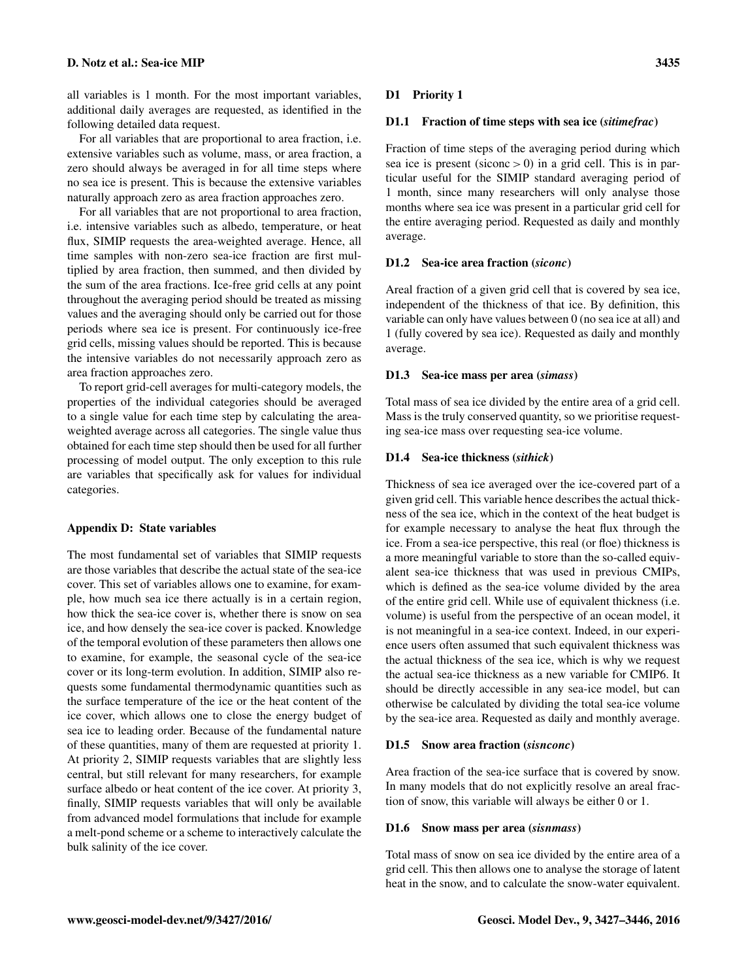#### D. Notz et al.: Sea-ice MIP 3435

all variables is 1 month. For the most important variables, additional daily averages are requested, as identified in the following detailed data request.

For all variables that are proportional to area fraction, i.e. extensive variables such as volume, mass, or area fraction, a zero should always be averaged in for all time steps where no sea ice is present. This is because the extensive variables naturally approach zero as area fraction approaches zero.

For all variables that are not proportional to area fraction, i.e. intensive variables such as albedo, temperature, or heat flux, SIMIP requests the area-weighted average. Hence, all time samples with non-zero sea-ice fraction are first multiplied by area fraction, then summed, and then divided by the sum of the area fractions. Ice-free grid cells at any point throughout the averaging period should be treated as missing values and the averaging should only be carried out for those periods where sea ice is present. For continuously ice-free grid cells, missing values should be reported. This is because the intensive variables do not necessarily approach zero as area fraction approaches zero.

To report grid-cell averages for multi-category models, the properties of the individual categories should be averaged to a single value for each time step by calculating the areaweighted average across all categories. The single value thus obtained for each time step should then be used for all further processing of model output. The only exception to this rule are variables that specifically ask for values for individual categories.

#### Appendix D: State variables

The most fundamental set of variables that SIMIP requests are those variables that describe the actual state of the sea-ice cover. This set of variables allows one to examine, for example, how much sea ice there actually is in a certain region, how thick the sea-ice cover is, whether there is snow on sea ice, and how densely the sea-ice cover is packed. Knowledge of the temporal evolution of these parameters then allows one to examine, for example, the seasonal cycle of the sea-ice cover or its long-term evolution. In addition, SIMIP also requests some fundamental thermodynamic quantities such as the surface temperature of the ice or the heat content of the ice cover, which allows one to close the energy budget of sea ice to leading order. Because of the fundamental nature of these quantities, many of them are requested at priority 1. At priority 2, SIMIP requests variables that are slightly less central, but still relevant for many researchers, for example surface albedo or heat content of the ice cover. At priority 3, finally, SIMIP requests variables that will only be available from advanced model formulations that include for example a melt-pond scheme or a scheme to interactively calculate the bulk salinity of the ice cover.

#### D1 Priority 1

#### D1.1 Fraction of time steps with sea ice (*sitimefrac*)

Fraction of time steps of the averaging period during which sea ice is present (siconc  $> 0$ ) in a grid cell. This is in particular useful for the SIMIP standard averaging period of 1 month, since many researchers will only analyse those months where sea ice was present in a particular grid cell for the entire averaging period. Requested as daily and monthly average.

#### D1.2 Sea-ice area fraction (*siconc*)

Areal fraction of a given grid cell that is covered by sea ice, independent of the thickness of that ice. By definition, this variable can only have values between 0 (no sea ice at all) and 1 (fully covered by sea ice). Requested as daily and monthly average.

#### D1.3 Sea-ice mass per area (*simass*)

Total mass of sea ice divided by the entire area of a grid cell. Mass is the truly conserved quantity, so we prioritise requesting sea-ice mass over requesting sea-ice volume.

#### D1.4 Sea-ice thickness (*sithick*)

Thickness of sea ice averaged over the ice-covered part of a given grid cell. This variable hence describes the actual thickness of the sea ice, which in the context of the heat budget is for example necessary to analyse the heat flux through the ice. From a sea-ice perspective, this real (or floe) thickness is a more meaningful variable to store than the so-called equivalent sea-ice thickness that was used in previous CMIPs, which is defined as the sea-ice volume divided by the area of the entire grid cell. While use of equivalent thickness (i.e. volume) is useful from the perspective of an ocean model, it is not meaningful in a sea-ice context. Indeed, in our experience users often assumed that such equivalent thickness was the actual thickness of the sea ice, which is why we request the actual sea-ice thickness as a new variable for CMIP6. It should be directly accessible in any sea-ice model, but can otherwise be calculated by dividing the total sea-ice volume by the sea-ice area. Requested as daily and monthly average.

#### D1.5 Snow area fraction (*sisnconc*)

Area fraction of the sea-ice surface that is covered by snow. In many models that do not explicitly resolve an areal fraction of snow, this variable will always be either 0 or 1.

#### D1.6 Snow mass per area (*sisnmass*)

Total mass of snow on sea ice divided by the entire area of a grid cell. This then allows one to analyse the storage of latent heat in the snow, and to calculate the snow-water equivalent.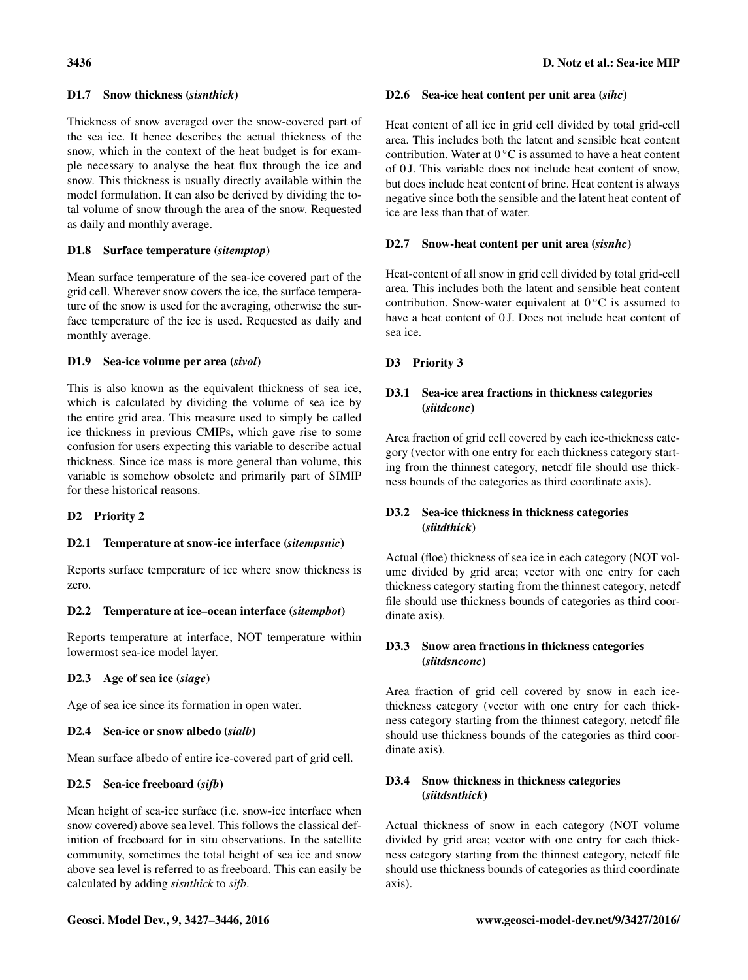#### D1.7 Snow thickness (*sisnthick*)

Thickness of snow averaged over the snow-covered part of the sea ice. It hence describes the actual thickness of the snow, which in the context of the heat budget is for example necessary to analyse the heat flux through the ice and snow. This thickness is usually directly available within the model formulation. It can also be derived by dividing the total volume of snow through the area of the snow. Requested as daily and monthly average.

## D1.8 Surface temperature (*sitemptop*)

Mean surface temperature of the sea-ice covered part of the grid cell. Wherever snow covers the ice, the surface temperature of the snow is used for the averaging, otherwise the surface temperature of the ice is used. Requested as daily and monthly average.

#### D1.9 Sea-ice volume per area (*sivol*)

This is also known as the equivalent thickness of sea ice, which is calculated by dividing the volume of sea ice by the entire grid area. This measure used to simply be called ice thickness in previous CMIPs, which gave rise to some confusion for users expecting this variable to describe actual thickness. Since ice mass is more general than volume, this variable is somehow obsolete and primarily part of SIMIP for these historical reasons.

## D2 Priority 2

#### D2.1 Temperature at snow-ice interface (*sitempsnic*)

Reports surface temperature of ice where snow thickness is zero.

#### D2.2 Temperature at ice–ocean interface (*sitempbot*)

Reports temperature at interface, NOT temperature within lowermost sea-ice model layer.

## D2.3 Age of sea ice (*siage*)

Age of sea ice since its formation in open water.

## D2.4 Sea-ice or snow albedo (*sialb*)

Mean surface albedo of entire ice-covered part of grid cell.

## D2.5 Sea-ice freeboard (*sifb*)

Mean height of sea-ice surface (i.e. snow-ice interface when snow covered) above sea level. This follows the classical definition of freeboard for in situ observations. In the satellite community, sometimes the total height of sea ice and snow above sea level is referred to as freeboard. This can easily be calculated by adding *sisnthick* to *sifb*.

#### D2.6 Sea-ice heat content per unit area (*sihc*)

Heat content of all ice in grid cell divided by total grid-cell area. This includes both the latent and sensible heat content contribution. Water at  $0^{\circ}$ C is assumed to have a heat content of 0 J. This variable does not include heat content of snow, but does include heat content of brine. Heat content is always negative since both the sensible and the latent heat content of ice are less than that of water.

#### D2.7 Snow-heat content per unit area (*sisnhc*)

Heat-content of all snow in grid cell divided by total grid-cell area. This includes both the latent and sensible heat content contribution. Snow-water equivalent at  $0^{\circ}$ C is assumed to have a heat content of 0 J. Does not include heat content of sea ice.

## D3 Priority 3

## D3.1 Sea-ice area fractions in thickness categories (*siitdconc*)

Area fraction of grid cell covered by each ice-thickness category (vector with one entry for each thickness category starting from the thinnest category, netcdf file should use thickness bounds of the categories as third coordinate axis).

## D3.2 Sea-ice thickness in thickness categories (*siitdthick*)

Actual (floe) thickness of sea ice in each category (NOT volume divided by grid area; vector with one entry for each thickness category starting from the thinnest category, netcdf file should use thickness bounds of categories as third coordinate axis).

## D3.3 Snow area fractions in thickness categories (*siitdsnconc*)

Area fraction of grid cell covered by snow in each icethickness category (vector with one entry for each thickness category starting from the thinnest category, netcdf file should use thickness bounds of the categories as third coordinate axis).

## D3.4 Snow thickness in thickness categories (*siitdsnthick*)

Actual thickness of snow in each category (NOT volume divided by grid area; vector with one entry for each thickness category starting from the thinnest category, netcdf file should use thickness bounds of categories as third coordinate axis).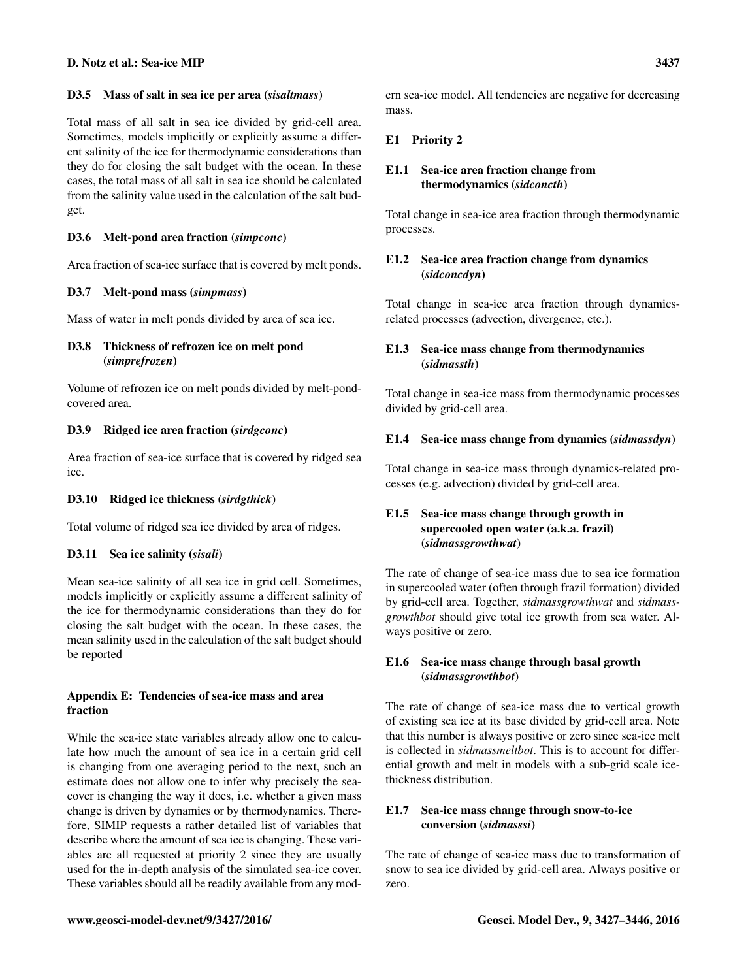#### D. Notz et al.: Sea-ice MIP 3437

#### D3.5 Mass of salt in sea ice per area (*sisaltmass*)

Total mass of all salt in sea ice divided by grid-cell area. Sometimes, models implicitly or explicitly assume a different salinity of the ice for thermodynamic considerations than they do for closing the salt budget with the ocean. In these cases, the total mass of all salt in sea ice should be calculated from the salinity value used in the calculation of the salt budget.

## D3.6 Melt-pond area fraction (*simpconc*)

Area fraction of sea-ice surface that is covered by melt ponds.

#### D3.7 Melt-pond mass (*simpmass*)

Mass of water in melt ponds divided by area of sea ice.

## D3.8 Thickness of refrozen ice on melt pond (*simprefrozen*)

Volume of refrozen ice on melt ponds divided by melt-pondcovered area.

#### D3.9 Ridged ice area fraction (*sirdgconc*)

Area fraction of sea-ice surface that is covered by ridged sea ice.

#### D3.10 Ridged ice thickness (*sirdgthick*)

Total volume of ridged sea ice divided by area of ridges.

#### D3.11 Sea ice salinity (*sisali*)

Mean sea-ice salinity of all sea ice in grid cell. Sometimes, models implicitly or explicitly assume a different salinity of the ice for thermodynamic considerations than they do for closing the salt budget with the ocean. In these cases, the mean salinity used in the calculation of the salt budget should be reported

## Appendix E: Tendencies of sea-ice mass and area fraction

While the sea-ice state variables already allow one to calculate how much the amount of sea ice in a certain grid cell is changing from one averaging period to the next, such an estimate does not allow one to infer why precisely the seacover is changing the way it does, i.e. whether a given mass change is driven by dynamics or by thermodynamics. Therefore, SIMIP requests a rather detailed list of variables that describe where the amount of sea ice is changing. These variables are all requested at priority 2 since they are usually used for the in-depth analysis of the simulated sea-ice cover. These variables should all be readily available from any modern sea-ice model. All tendencies are negative for decreasing mass.

#### E1 Priority 2

#### E1.1 Sea-ice area fraction change from thermodynamics (*sidconcth*)

Total change in sea-ice area fraction through thermodynamic processes.

## E1.2 Sea-ice area fraction change from dynamics (*sidconcdyn*)

Total change in sea-ice area fraction through dynamicsrelated processes (advection, divergence, etc.).

#### E1.3 Sea-ice mass change from thermodynamics (*sidmassth*)

Total change in sea-ice mass from thermodynamic processes divided by grid-cell area.

#### E1.4 Sea-ice mass change from dynamics (*sidmassdyn*)

Total change in sea-ice mass through dynamics-related processes (e.g. advection) divided by grid-cell area.

## E1.5 Sea-ice mass change through growth in supercooled open water (a.k.a. frazil) (*sidmassgrowthwat*)

The rate of change of sea-ice mass due to sea ice formation in supercooled water (often through frazil formation) divided by grid-cell area. Together, *sidmassgrowthwat* and *sidmassgrowthbot* should give total ice growth from sea water. Always positive or zero.

## E1.6 Sea-ice mass change through basal growth (*sidmassgrowthbot*)

The rate of change of sea-ice mass due to vertical growth of existing sea ice at its base divided by grid-cell area. Note that this number is always positive or zero since sea-ice melt is collected in *sidmassmeltbot*. This is to account for differential growth and melt in models with a sub-grid scale icethickness distribution.

## E1.7 Sea-ice mass change through snow-to-ice conversion (*sidmasssi*)

The rate of change of sea-ice mass due to transformation of snow to sea ice divided by grid-cell area. Always positive or zero.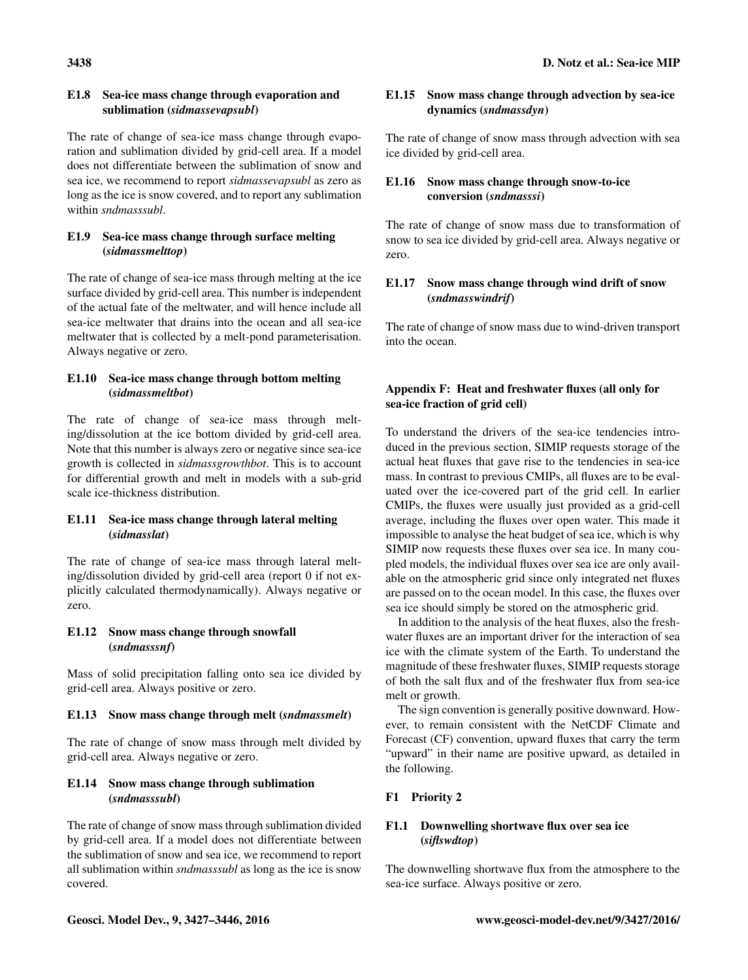## E1.8 Sea-ice mass change through evaporation and sublimation (*sidmassevapsubl*)

The rate of change of sea-ice mass change through evaporation and sublimation divided by grid-cell area. If a model does not differentiate between the sublimation of snow and sea ice, we recommend to report *sidmassevapsubl* as zero as long as the ice is snow covered, and to report any sublimation within *sndmasssubl*.

## E1.9 Sea-ice mass change through surface melting (*sidmassmelttop*)

The rate of change of sea-ice mass through melting at the ice surface divided by grid-cell area. This number is independent of the actual fate of the meltwater, and will hence include all sea-ice meltwater that drains into the ocean and all sea-ice meltwater that is collected by a melt-pond parameterisation. Always negative or zero.

## E1.10 Sea-ice mass change through bottom melting (*sidmassmeltbot*)

The rate of change of sea-ice mass through melting/dissolution at the ice bottom divided by grid-cell area. Note that this number is always zero or negative since sea-ice growth is collected in *sidmassgrowthbot*. This is to account for differential growth and melt in models with a sub-grid scale ice-thickness distribution.

## E1.11 Sea-ice mass change through lateral melting (*sidmasslat*)

The rate of change of sea-ice mass through lateral melting/dissolution divided by grid-cell area (report 0 if not explicitly calculated thermodynamically). Always negative or zero.

## E1.12 Snow mass change through snowfall (*sndmasssnf*)

Mass of solid precipitation falling onto sea ice divided by grid-cell area. Always positive or zero.

## E1.13 Snow mass change through melt (*sndmassmelt*)

The rate of change of snow mass through melt divided by grid-cell area. Always negative or zero.

## E1.14 Snow mass change through sublimation (*sndmasssubl*)

The rate of change of snow mass through sublimation divided by grid-cell area. If a model does not differentiate between the sublimation of snow and sea ice, we recommend to report all sublimation within *sndmasssubl* as long as the ice is snow covered.

## E1.15 Snow mass change through advection by sea-ice dynamics (*sndmassdyn*)

The rate of change of snow mass through advection with sea ice divided by grid-cell area.

## E1.16 Snow mass change through snow-to-ice conversion (*sndmasssi*)

The rate of change of snow mass due to transformation of snow to sea ice divided by grid-cell area. Always negative or zero.

## E1.17 Snow mass change through wind drift of snow (*sndmasswindrif*)

The rate of change of snow mass due to wind-driven transport into the ocean.

## Appendix F: Heat and freshwater fluxes (all only for sea-ice fraction of grid cell)

To understand the drivers of the sea-ice tendencies introduced in the previous section, SIMIP requests storage of the actual heat fluxes that gave rise to the tendencies in sea-ice mass. In contrast to previous CMIPs, all fluxes are to be evaluated over the ice-covered part of the grid cell. In earlier CMIPs, the fluxes were usually just provided as a grid-cell average, including the fluxes over open water. This made it impossible to analyse the heat budget of sea ice, which is why SIMIP now requests these fluxes over sea ice. In many coupled models, the individual fluxes over sea ice are only available on the atmospheric grid since only integrated net fluxes are passed on to the ocean model. In this case, the fluxes over sea ice should simply be stored on the atmospheric grid.

In addition to the analysis of the heat fluxes, also the freshwater fluxes are an important driver for the interaction of sea ice with the climate system of the Earth. To understand the magnitude of these freshwater fluxes, SIMIP requests storage of both the salt flux and of the freshwater flux from sea-ice melt or growth.

The sign convention is generally positive downward. However, to remain consistent with the NetCDF Climate and Forecast (CF) convention, upward fluxes that carry the term "upward" in their name are positive upward, as detailed in the following.

## F1 Priority 2

## F1.1 Downwelling shortwave flux over sea ice (*siflswdtop*)

The downwelling shortwave flux from the atmosphere to the sea-ice surface. Always positive or zero.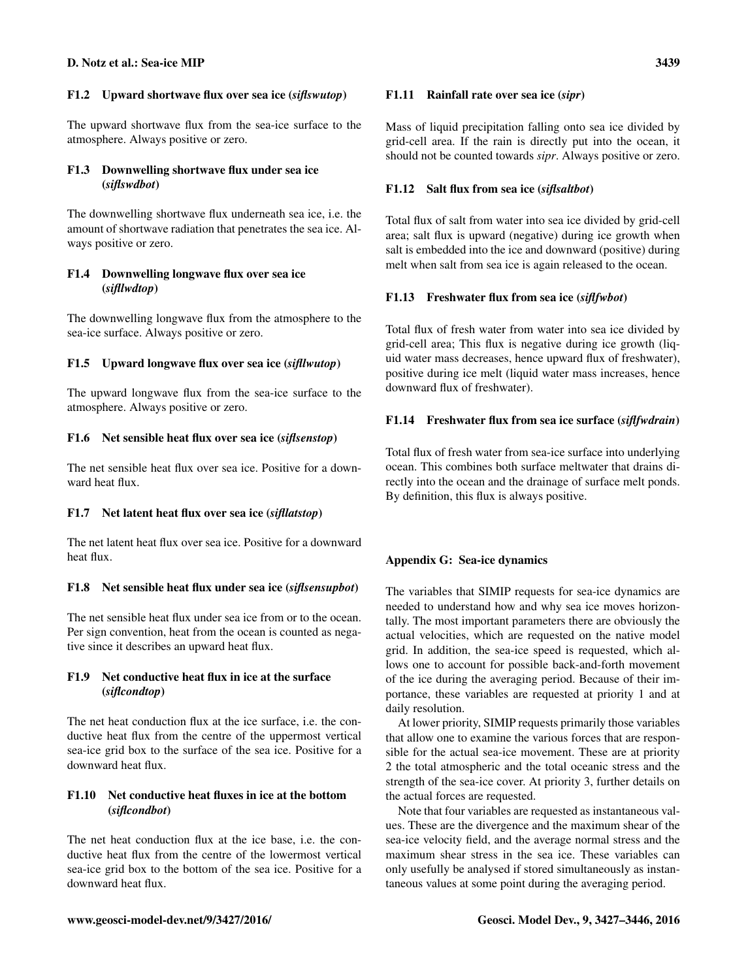## F1.2 Upward shortwave flux over sea ice (*siflswutop*)

The upward shortwave flux from the sea-ice surface to the atmosphere. Always positive or zero.

#### F1.3 Downwelling shortwave flux under sea ice (*siflswdbot*)

The downwelling shortwave flux underneath sea ice, i.e. the amount of shortwave radiation that penetrates the sea ice. Always positive or zero.

## F1.4 Downwelling longwave flux over sea ice (*sifllwdtop*)

The downwelling longwave flux from the atmosphere to the sea-ice surface. Always positive or zero.

#### F1.5 Upward longwave flux over sea ice (*sifllwutop*)

The upward longwave flux from the sea-ice surface to the atmosphere. Always positive or zero.

#### F1.6 Net sensible heat flux over sea ice (*siflsenstop*)

The net sensible heat flux over sea ice. Positive for a downward heat flux.

#### F1.7 Net latent heat flux over sea ice (*sifllatstop*)

The net latent heat flux over sea ice. Positive for a downward heat flux.

#### F1.8 Net sensible heat flux under sea ice (*siflsensupbot*)

The net sensible heat flux under sea ice from or to the ocean. Per sign convention, heat from the ocean is counted as negative since it describes an upward heat flux.

## F1.9 Net conductive heat flux in ice at the surface (*siflcondtop*)

The net heat conduction flux at the ice surface, i.e. the conductive heat flux from the centre of the uppermost vertical sea-ice grid box to the surface of the sea ice. Positive for a downward heat flux.

## F1.10 Net conductive heat fluxes in ice at the bottom (*siflcondbot*)

The net heat conduction flux at the ice base, i.e. the conductive heat flux from the centre of the lowermost vertical sea-ice grid box to the bottom of the sea ice. Positive for a downward heat flux.

#### F1.11 Rainfall rate over sea ice (*sipr*)

Mass of liquid precipitation falling onto sea ice divided by grid-cell area. If the rain is directly put into the ocean, it should not be counted towards *sipr*. Always positive or zero.

## F1.12 Salt flux from sea ice (*siflsaltbot*)

Total flux of salt from water into sea ice divided by grid-cell area; salt flux is upward (negative) during ice growth when salt is embedded into the ice and downward (positive) during melt when salt from sea ice is again released to the ocean.

#### F1.13 Freshwater flux from sea ice (*siflfwbot*)

Total flux of fresh water from water into sea ice divided by grid-cell area; This flux is negative during ice growth (liquid water mass decreases, hence upward flux of freshwater), positive during ice melt (liquid water mass increases, hence downward flux of freshwater).

#### F1.14 Freshwater flux from sea ice surface (*siflfwdrain*)

Total flux of fresh water from sea-ice surface into underlying ocean. This combines both surface meltwater that drains directly into the ocean and the drainage of surface melt ponds. By definition, this flux is always positive.

#### Appendix G: Sea-ice dynamics

The variables that SIMIP requests for sea-ice dynamics are needed to understand how and why sea ice moves horizontally. The most important parameters there are obviously the actual velocities, which are requested on the native model grid. In addition, the sea-ice speed is requested, which allows one to account for possible back-and-forth movement of the ice during the averaging period. Because of their importance, these variables are requested at priority 1 and at daily resolution.

At lower priority, SIMIP requests primarily those variables that allow one to examine the various forces that are responsible for the actual sea-ice movement. These are at priority 2 the total atmospheric and the total oceanic stress and the strength of the sea-ice cover. At priority 3, further details on the actual forces are requested.

Note that four variables are requested as instantaneous values. These are the divergence and the maximum shear of the sea-ice velocity field, and the average normal stress and the maximum shear stress in the sea ice. These variables can only usefully be analysed if stored simultaneously as instantaneous values at some point during the averaging period.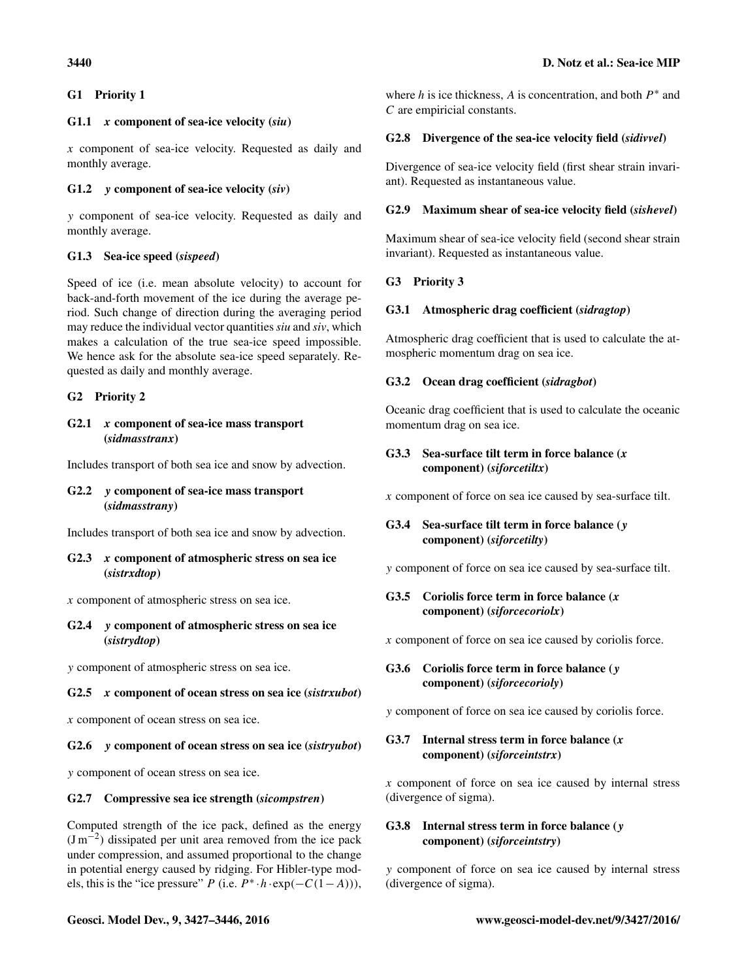## G1 Priority 1

## G1.1 x component of sea-ice velocity (*siu*)

 $x$  component of sea-ice velocity. Requested as daily and monthly average.

## G1.2 y component of sea-ice velocity (*siv*)

y component of sea-ice velocity. Requested as daily and monthly average.

## G1.3 Sea-ice speed (*sispeed*)

Speed of ice (i.e. mean absolute velocity) to account for back-and-forth movement of the ice during the average period. Such change of direction during the averaging period may reduce the individual vector quantities *siu* and *siv*, which makes a calculation of the true sea-ice speed impossible. We hence ask for the absolute sea-ice speed separately. Requested as daily and monthly average.

## G2 Priority 2

#### G2.1 x component of sea-ice mass transport (*sidmasstranx*)

Includes transport of both sea ice and snow by advection.

#### G2.2 y component of sea-ice mass transport (*sidmasstrany*)

Includes transport of both sea ice and snow by advection.

#### G2.3 x component of atmospheric stress on sea ice (*sistrxdtop*)

x component of atmospheric stress on sea ice.

G2.4 y component of atmospheric stress on sea ice (*sistrydtop*)

y component of atmospheric stress on sea ice.

## G2.5 x component of ocean stress on sea ice (*sistrxubot*)

x component of ocean stress on sea ice.

## G2.6 y component of ocean stress on sea ice (*sistryubot*)

y component of ocean stress on sea ice.

#### G2.7 Compressive sea ice strength (*sicompstren*)

Computed strength of the ice pack, defined as the energy (J m−<sup>2</sup> ) dissipated per unit area removed from the ice pack under compression, and assumed proportional to the change in potential energy caused by ridging. For Hibler-type models, this is the "ice pressure" P (i.e.  $P^* \cdot h \cdot \exp(-C(1-A))$ ),

where  $h$  is ice thickness,  $A$  is concentration, and both  $P^*$  and C are empiricial constants.

#### G2.8 Divergence of the sea-ice velocity field (*sidivvel*)

Divergence of sea-ice velocity field (first shear strain invariant). Requested as instantaneous value.

#### G2.9 Maximum shear of sea-ice velocity field (*sishevel*)

Maximum shear of sea-ice velocity field (second shear strain invariant). Requested as instantaneous value.

#### G3 Priority 3

#### G3.1 Atmospheric drag coefficient (*sidragtop*)

Atmospheric drag coefficient that is used to calculate the atmospheric momentum drag on sea ice.

#### G3.2 Ocean drag coefficient (*sidragbot*)

Oceanic drag coefficient that is used to calculate the oceanic momentum drag on sea ice.

## G3.3 Sea-surface tilt term in force balance  $(x)$ component) (*siforcetiltx*)

x component of force on sea ice caused by sea-surface tilt.

## G3.4 Sea-surface tilt term in force balance (y component) (*siforcetilty*)

y component of force on sea ice caused by sea-surface tilt.

## G3.5 Coriolis force term in force balance  $(x)$ component) (*siforcecoriolx*)

x component of force on sea ice caused by coriolis force.

## G3.6 Coriolis force term in force balance (y component) (*siforcecorioly*)

y component of force on sea ice caused by coriolis force.

## G3.7 Internal stress term in force balance  $(x)$ component) (*siforceintstrx*)

x component of force on sea ice caused by internal stress (divergence of sigma).

## G3.8 Internal stress term in force balance (y component) (*siforceintstry*)

y component of force on sea ice caused by internal stress (divergence of sigma).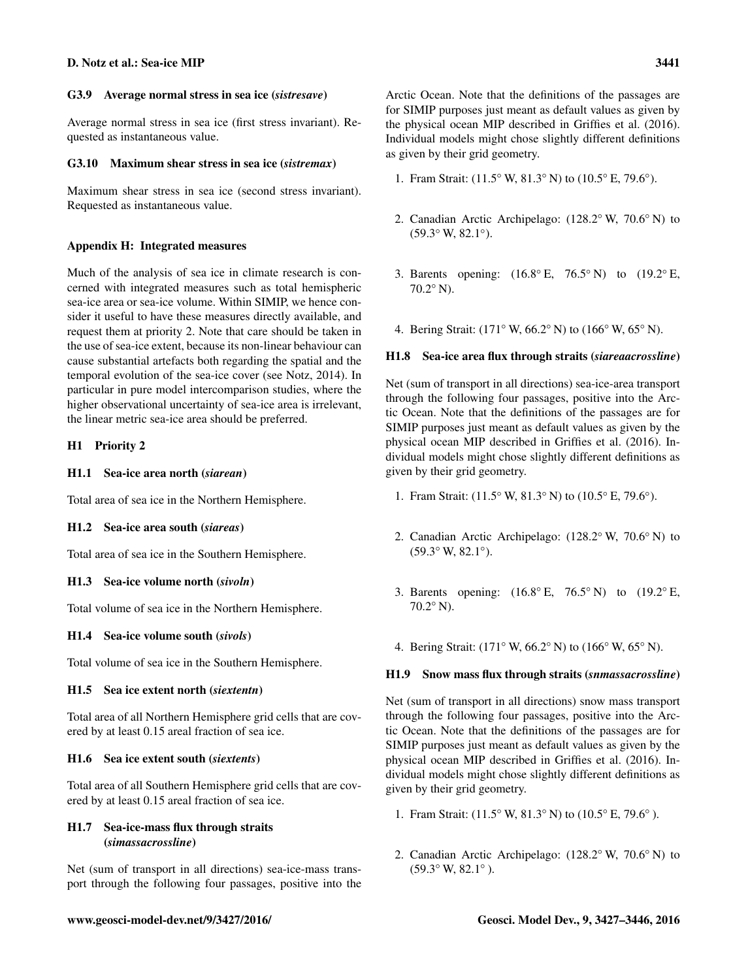#### G3.9 Average normal stress in sea ice (*sistresave*)

Average normal stress in sea ice (first stress invariant). Requested as instantaneous value.

#### G3.10 Maximum shear stress in sea ice (*sistremax*)

Maximum shear stress in sea ice (second stress invariant). Requested as instantaneous value.

#### Appendix H: Integrated measures

Much of the analysis of sea ice in climate research is concerned with integrated measures such as total hemispheric sea-ice area or sea-ice volume. Within SIMIP, we hence consider it useful to have these measures directly available, and request them at priority 2. Note that care should be taken in the use of sea-ice extent, because its non-linear behaviour can cause substantial artefacts both regarding the spatial and the temporal evolution of the sea-ice cover (see [Notz,](#page-18-19) [2014\)](#page-18-19). In particular in pure model intercomparison studies, where the higher observational uncertainty of sea-ice area is irrelevant, the linear metric sea-ice area should be preferred.

#### H1 Priority 2

#### H1.1 Sea-ice area north (*siarean*)

Total area of sea ice in the Northern Hemisphere.

#### H1.2 Sea-ice area south (*siareas*)

Total area of sea ice in the Southern Hemisphere.

#### H1.3 Sea-ice volume north (*sivoln*)

Total volume of sea ice in the Northern Hemisphere.

#### H1.4 Sea-ice volume south (*sivols*)

Total volume of sea ice in the Southern Hemisphere.

#### H1.5 Sea ice extent north (*siextentn*)

Total area of all Northern Hemisphere grid cells that are covered by at least 0.15 areal fraction of sea ice.

#### H1.6 Sea ice extent south (*siextents*)

Total area of all Southern Hemisphere grid cells that are covered by at least 0.15 areal fraction of sea ice.

#### H1.7 Sea-ice-mass flux through straits (*simassacrossline*)

Net (sum of transport in all directions) sea-ice-mass transport through the following four passages, positive into the Arctic Ocean. Note that the definitions of the passages are for SIMIP purposes just meant as default values as given by the physical ocean MIP described in [Griffies et al.](#page-18-20) [\(2016\)](#page-18-20). Individual models might chose slightly different definitions as given by their grid geometry.

- 1. Fram Strait: (11.5◦ W, 81.3◦ N) to (10.5◦ E, 79.6◦ ).
- 2. Canadian Arctic Archipelago: (128.2◦ W, 70.6◦ N) to (59.3◦ W, 82.1◦ ).
- 3. Barents opening: (16.8◦ E, 76.5◦ N) to (19.2◦ E, 70.2◦ N).
- 4. Bering Strait: (171◦ W, 66.2◦ N) to (166◦ W, 65◦ N).

#### H1.8 Sea-ice area flux through straits (*siareaacrossline*)

Net (sum of transport in all directions) sea-ice-area transport through the following four passages, positive into the Arctic Ocean. Note that the definitions of the passages are for SIMIP purposes just meant as default values as given by the physical ocean MIP described in [Griffies et al.](#page-18-20) [\(2016\)](#page-18-20). Individual models might chose slightly different definitions as given by their grid geometry.

- 1. Fram Strait: (11.5◦ W, 81.3◦ N) to (10.5◦ E, 79.6◦ ).
- 2. Canadian Arctic Archipelago: (128.2◦ W, 70.6◦ N) to (59.3◦ W, 82.1◦ ).
- 3. Barents opening: (16.8◦ E, 76.5◦ N) to (19.2◦ E, 70.2◦ N).
- 4. Bering Strait: (171◦ W, 66.2◦ N) to (166◦ W, 65◦ N).

#### H1.9 Snow mass flux through straits (*snmassacrossline*)

Net (sum of transport in all directions) snow mass transport through the following four passages, positive into the Arctic Ocean. Note that the definitions of the passages are for SIMIP purposes just meant as default values as given by the physical ocean MIP described in [Griffies et al.](#page-18-20) [\(2016\)](#page-18-20). Individual models might chose slightly different definitions as given by their grid geometry.

- 1. Fram Strait: (11.5◦ W, 81.3◦ N) to (10.5◦ E, 79.6◦ ).
- 2. Canadian Arctic Archipelago: (128.2◦ W, 70.6◦ N) to (59.3◦ W, 82.1◦ ).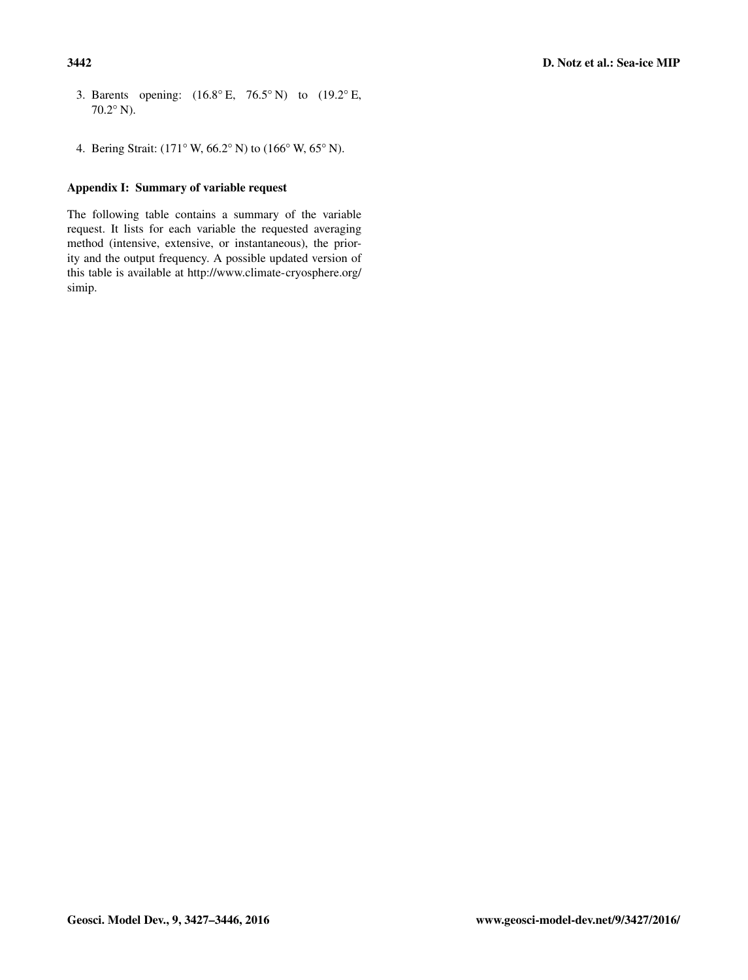- 
- 3. Barents opening: (16.8◦ E, 76.5◦ N) to (19.2◦ E, 70.2° N).
- 4. Bering Strait: (171◦ W, 66.2◦ N) to (166◦ W, 65◦ N).

## Appendix I: Summary of variable request

The following table contains a summary of the variable request. It lists for each variable the requested averaging method (intensive, extensive, or instantaneous), the priority and the output frequency. A possible updated version of this table is available at [http://www.climate-cryosphere.org/](http://www.climate-cryosphere.org/simip) [simip.](http://www.climate-cryosphere.org/simip)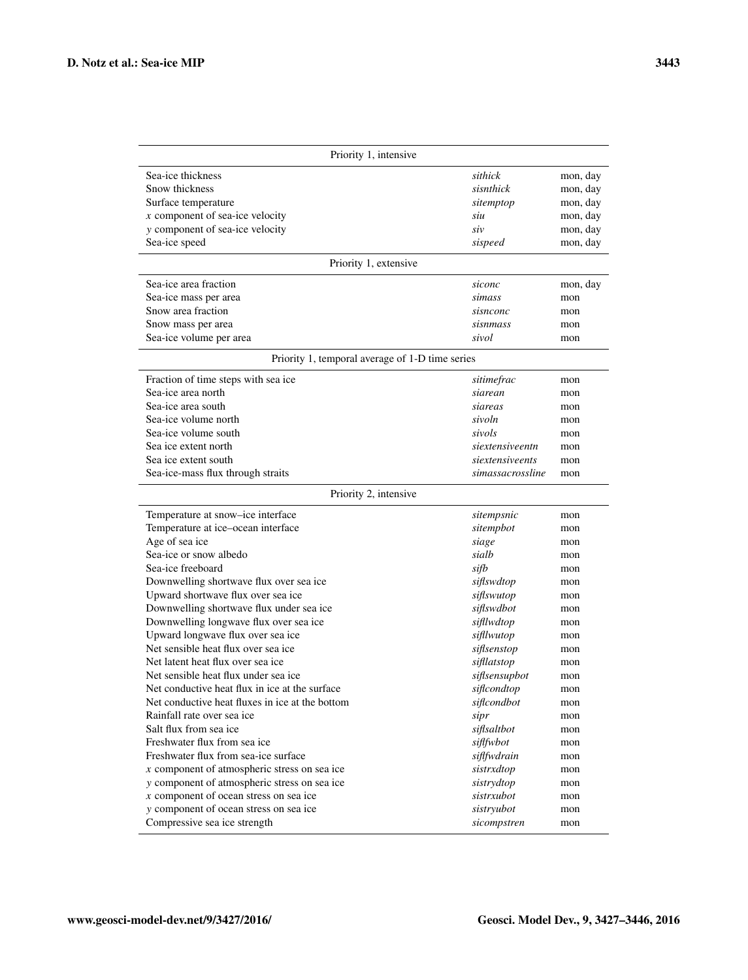| Sea-ice thickness<br>sithick<br>Snow thickness<br>sisnthick<br>Surface temperature<br>sitemptop<br>$x$ component of sea-ice velocity<br>siu<br>y component of sea-ice velocity<br>siv<br>Sea-ice speed<br>sispeed<br>Priority 1, extensive<br>Sea-ice area fraction<br>siconc<br>Sea-ice mass per area<br>simass<br>mon<br>Snow area fraction<br>sisnconc<br>mon<br>Snow mass per area<br>sisnmass<br>mon<br>Sea-ice volume per area<br>sivol<br>mon<br>Priority 1, temporal average of 1-D time series<br>Fraction of time steps with sea ice<br>sitimefrac<br>mon<br>Sea-ice area north<br>siarean<br>mon<br>Sea-ice area south<br>siareas<br>mon<br>Sea-ice volume north<br>sivoln<br>mon<br>Sea-ice volume south<br>sivols<br>mon<br>Sea ice extent north<br>siextensiveentn<br>mon<br>Sea ice extent south<br>siextensiveents<br>mon<br>Sea-ice-mass flux through straits<br>simassacrossline<br>mon<br>Priority 2, intensive<br>Temperature at snow-ice interface<br>sitempsnic<br>mon<br>Temperature at ice-ocean interface<br>sitempbot<br>mon<br>Age of sea ice<br>siage<br>mon<br>Sea-ice or snow albedo<br>sialb<br>mon<br>Sea-ice freeboard<br>sifb<br>mon<br>Downwelling shortwave flux over sea ice<br>siflswdtop<br>mon<br>Upward shortwave flux over sea ice<br>siflswutop<br>mon<br>Downwelling shortwave flux under sea ice<br>siflswdbot<br>mon<br>Downwelling longwave flux over sea ice<br>sifllwdtop<br>mon<br>Upward longwave flux over sea ice<br>sifllwutop<br>mon<br>Net sensible heat flux over sea ice<br>siflsenstop<br>mon<br>Net latent heat flux over sea ice<br>sifllatstop<br>mon<br>Net sensible heat flux under sea ice.<br>siflsensupbot<br>mon<br>Net conductive heat flux in ice at the surface<br>sificondtop<br>mon<br>Net conductive heat fluxes in ice at the bottom<br>sificondbot<br>mon<br>Rainfall rate over sea ice<br>sipr<br>mon<br>Salt flux from sea ice<br>siflsaltbot<br>mon<br>Freshwater flux from sea ice<br>siflfwbot<br>mon<br>Freshwater flux from sea-ice surface<br>siflfwdrain<br>mon<br>$x$ component of atmospheric stress on sea ice<br>sistrxdtop<br>mon<br>y component of atmospheric stress on sea ice<br>sistrydtop<br>mon<br>$x$ component of ocean stress on sea ice<br>sistrxubot<br>mon<br>y component of ocean stress on sea ice<br>sistryubot<br>mon | Priority 1, intensive        |             |          |  |  |
|----------------------------------------------------------------------------------------------------------------------------------------------------------------------------------------------------------------------------------------------------------------------------------------------------------------------------------------------------------------------------------------------------------------------------------------------------------------------------------------------------------------------------------------------------------------------------------------------------------------------------------------------------------------------------------------------------------------------------------------------------------------------------------------------------------------------------------------------------------------------------------------------------------------------------------------------------------------------------------------------------------------------------------------------------------------------------------------------------------------------------------------------------------------------------------------------------------------------------------------------------------------------------------------------------------------------------------------------------------------------------------------------------------------------------------------------------------------------------------------------------------------------------------------------------------------------------------------------------------------------------------------------------------------------------------------------------------------------------------------------------------------------------------------------------------------------------------------------------------------------------------------------------------------------------------------------------------------------------------------------------------------------------------------------------------------------------------------------------------------------------------------------------------------------------------------------------------------------------------------------------------------------------------------------------------------------------------|------------------------------|-------------|----------|--|--|
|                                                                                                                                                                                                                                                                                                                                                                                                                                                                                                                                                                                                                                                                                                                                                                                                                                                                                                                                                                                                                                                                                                                                                                                                                                                                                                                                                                                                                                                                                                                                                                                                                                                                                                                                                                                                                                                                                                                                                                                                                                                                                                                                                                                                                                                                                                                                  |                              |             | mon, day |  |  |
|                                                                                                                                                                                                                                                                                                                                                                                                                                                                                                                                                                                                                                                                                                                                                                                                                                                                                                                                                                                                                                                                                                                                                                                                                                                                                                                                                                                                                                                                                                                                                                                                                                                                                                                                                                                                                                                                                                                                                                                                                                                                                                                                                                                                                                                                                                                                  |                              |             | mon, day |  |  |
|                                                                                                                                                                                                                                                                                                                                                                                                                                                                                                                                                                                                                                                                                                                                                                                                                                                                                                                                                                                                                                                                                                                                                                                                                                                                                                                                                                                                                                                                                                                                                                                                                                                                                                                                                                                                                                                                                                                                                                                                                                                                                                                                                                                                                                                                                                                                  |                              |             | mon, day |  |  |
|                                                                                                                                                                                                                                                                                                                                                                                                                                                                                                                                                                                                                                                                                                                                                                                                                                                                                                                                                                                                                                                                                                                                                                                                                                                                                                                                                                                                                                                                                                                                                                                                                                                                                                                                                                                                                                                                                                                                                                                                                                                                                                                                                                                                                                                                                                                                  |                              |             | mon, day |  |  |
|                                                                                                                                                                                                                                                                                                                                                                                                                                                                                                                                                                                                                                                                                                                                                                                                                                                                                                                                                                                                                                                                                                                                                                                                                                                                                                                                                                                                                                                                                                                                                                                                                                                                                                                                                                                                                                                                                                                                                                                                                                                                                                                                                                                                                                                                                                                                  |                              |             | mon, day |  |  |
|                                                                                                                                                                                                                                                                                                                                                                                                                                                                                                                                                                                                                                                                                                                                                                                                                                                                                                                                                                                                                                                                                                                                                                                                                                                                                                                                                                                                                                                                                                                                                                                                                                                                                                                                                                                                                                                                                                                                                                                                                                                                                                                                                                                                                                                                                                                                  |                              |             | mon, day |  |  |
|                                                                                                                                                                                                                                                                                                                                                                                                                                                                                                                                                                                                                                                                                                                                                                                                                                                                                                                                                                                                                                                                                                                                                                                                                                                                                                                                                                                                                                                                                                                                                                                                                                                                                                                                                                                                                                                                                                                                                                                                                                                                                                                                                                                                                                                                                                                                  |                              |             |          |  |  |
|                                                                                                                                                                                                                                                                                                                                                                                                                                                                                                                                                                                                                                                                                                                                                                                                                                                                                                                                                                                                                                                                                                                                                                                                                                                                                                                                                                                                                                                                                                                                                                                                                                                                                                                                                                                                                                                                                                                                                                                                                                                                                                                                                                                                                                                                                                                                  |                              |             | mon, day |  |  |
|                                                                                                                                                                                                                                                                                                                                                                                                                                                                                                                                                                                                                                                                                                                                                                                                                                                                                                                                                                                                                                                                                                                                                                                                                                                                                                                                                                                                                                                                                                                                                                                                                                                                                                                                                                                                                                                                                                                                                                                                                                                                                                                                                                                                                                                                                                                                  |                              |             |          |  |  |
|                                                                                                                                                                                                                                                                                                                                                                                                                                                                                                                                                                                                                                                                                                                                                                                                                                                                                                                                                                                                                                                                                                                                                                                                                                                                                                                                                                                                                                                                                                                                                                                                                                                                                                                                                                                                                                                                                                                                                                                                                                                                                                                                                                                                                                                                                                                                  |                              |             |          |  |  |
|                                                                                                                                                                                                                                                                                                                                                                                                                                                                                                                                                                                                                                                                                                                                                                                                                                                                                                                                                                                                                                                                                                                                                                                                                                                                                                                                                                                                                                                                                                                                                                                                                                                                                                                                                                                                                                                                                                                                                                                                                                                                                                                                                                                                                                                                                                                                  |                              |             |          |  |  |
|                                                                                                                                                                                                                                                                                                                                                                                                                                                                                                                                                                                                                                                                                                                                                                                                                                                                                                                                                                                                                                                                                                                                                                                                                                                                                                                                                                                                                                                                                                                                                                                                                                                                                                                                                                                                                                                                                                                                                                                                                                                                                                                                                                                                                                                                                                                                  |                              |             |          |  |  |
|                                                                                                                                                                                                                                                                                                                                                                                                                                                                                                                                                                                                                                                                                                                                                                                                                                                                                                                                                                                                                                                                                                                                                                                                                                                                                                                                                                                                                                                                                                                                                                                                                                                                                                                                                                                                                                                                                                                                                                                                                                                                                                                                                                                                                                                                                                                                  |                              |             |          |  |  |
|                                                                                                                                                                                                                                                                                                                                                                                                                                                                                                                                                                                                                                                                                                                                                                                                                                                                                                                                                                                                                                                                                                                                                                                                                                                                                                                                                                                                                                                                                                                                                                                                                                                                                                                                                                                                                                                                                                                                                                                                                                                                                                                                                                                                                                                                                                                                  |                              |             |          |  |  |
|                                                                                                                                                                                                                                                                                                                                                                                                                                                                                                                                                                                                                                                                                                                                                                                                                                                                                                                                                                                                                                                                                                                                                                                                                                                                                                                                                                                                                                                                                                                                                                                                                                                                                                                                                                                                                                                                                                                                                                                                                                                                                                                                                                                                                                                                                                                                  |                              |             |          |  |  |
|                                                                                                                                                                                                                                                                                                                                                                                                                                                                                                                                                                                                                                                                                                                                                                                                                                                                                                                                                                                                                                                                                                                                                                                                                                                                                                                                                                                                                                                                                                                                                                                                                                                                                                                                                                                                                                                                                                                                                                                                                                                                                                                                                                                                                                                                                                                                  |                              |             |          |  |  |
|                                                                                                                                                                                                                                                                                                                                                                                                                                                                                                                                                                                                                                                                                                                                                                                                                                                                                                                                                                                                                                                                                                                                                                                                                                                                                                                                                                                                                                                                                                                                                                                                                                                                                                                                                                                                                                                                                                                                                                                                                                                                                                                                                                                                                                                                                                                                  |                              |             |          |  |  |
|                                                                                                                                                                                                                                                                                                                                                                                                                                                                                                                                                                                                                                                                                                                                                                                                                                                                                                                                                                                                                                                                                                                                                                                                                                                                                                                                                                                                                                                                                                                                                                                                                                                                                                                                                                                                                                                                                                                                                                                                                                                                                                                                                                                                                                                                                                                                  |                              |             |          |  |  |
|                                                                                                                                                                                                                                                                                                                                                                                                                                                                                                                                                                                                                                                                                                                                                                                                                                                                                                                                                                                                                                                                                                                                                                                                                                                                                                                                                                                                                                                                                                                                                                                                                                                                                                                                                                                                                                                                                                                                                                                                                                                                                                                                                                                                                                                                                                                                  |                              |             |          |  |  |
|                                                                                                                                                                                                                                                                                                                                                                                                                                                                                                                                                                                                                                                                                                                                                                                                                                                                                                                                                                                                                                                                                                                                                                                                                                                                                                                                                                                                                                                                                                                                                                                                                                                                                                                                                                                                                                                                                                                                                                                                                                                                                                                                                                                                                                                                                                                                  |                              |             |          |  |  |
|                                                                                                                                                                                                                                                                                                                                                                                                                                                                                                                                                                                                                                                                                                                                                                                                                                                                                                                                                                                                                                                                                                                                                                                                                                                                                                                                                                                                                                                                                                                                                                                                                                                                                                                                                                                                                                                                                                                                                                                                                                                                                                                                                                                                                                                                                                                                  |                              |             |          |  |  |
|                                                                                                                                                                                                                                                                                                                                                                                                                                                                                                                                                                                                                                                                                                                                                                                                                                                                                                                                                                                                                                                                                                                                                                                                                                                                                                                                                                                                                                                                                                                                                                                                                                                                                                                                                                                                                                                                                                                                                                                                                                                                                                                                                                                                                                                                                                                                  |                              |             |          |  |  |
|                                                                                                                                                                                                                                                                                                                                                                                                                                                                                                                                                                                                                                                                                                                                                                                                                                                                                                                                                                                                                                                                                                                                                                                                                                                                                                                                                                                                                                                                                                                                                                                                                                                                                                                                                                                                                                                                                                                                                                                                                                                                                                                                                                                                                                                                                                                                  |                              |             |          |  |  |
|                                                                                                                                                                                                                                                                                                                                                                                                                                                                                                                                                                                                                                                                                                                                                                                                                                                                                                                                                                                                                                                                                                                                                                                                                                                                                                                                                                                                                                                                                                                                                                                                                                                                                                                                                                                                                                                                                                                                                                                                                                                                                                                                                                                                                                                                                                                                  |                              |             |          |  |  |
|                                                                                                                                                                                                                                                                                                                                                                                                                                                                                                                                                                                                                                                                                                                                                                                                                                                                                                                                                                                                                                                                                                                                                                                                                                                                                                                                                                                                                                                                                                                                                                                                                                                                                                                                                                                                                                                                                                                                                                                                                                                                                                                                                                                                                                                                                                                                  |                              |             |          |  |  |
|                                                                                                                                                                                                                                                                                                                                                                                                                                                                                                                                                                                                                                                                                                                                                                                                                                                                                                                                                                                                                                                                                                                                                                                                                                                                                                                                                                                                                                                                                                                                                                                                                                                                                                                                                                                                                                                                                                                                                                                                                                                                                                                                                                                                                                                                                                                                  |                              |             |          |  |  |
|                                                                                                                                                                                                                                                                                                                                                                                                                                                                                                                                                                                                                                                                                                                                                                                                                                                                                                                                                                                                                                                                                                                                                                                                                                                                                                                                                                                                                                                                                                                                                                                                                                                                                                                                                                                                                                                                                                                                                                                                                                                                                                                                                                                                                                                                                                                                  |                              |             |          |  |  |
|                                                                                                                                                                                                                                                                                                                                                                                                                                                                                                                                                                                                                                                                                                                                                                                                                                                                                                                                                                                                                                                                                                                                                                                                                                                                                                                                                                                                                                                                                                                                                                                                                                                                                                                                                                                                                                                                                                                                                                                                                                                                                                                                                                                                                                                                                                                                  |                              |             |          |  |  |
|                                                                                                                                                                                                                                                                                                                                                                                                                                                                                                                                                                                                                                                                                                                                                                                                                                                                                                                                                                                                                                                                                                                                                                                                                                                                                                                                                                                                                                                                                                                                                                                                                                                                                                                                                                                                                                                                                                                                                                                                                                                                                                                                                                                                                                                                                                                                  |                              |             |          |  |  |
|                                                                                                                                                                                                                                                                                                                                                                                                                                                                                                                                                                                                                                                                                                                                                                                                                                                                                                                                                                                                                                                                                                                                                                                                                                                                                                                                                                                                                                                                                                                                                                                                                                                                                                                                                                                                                                                                                                                                                                                                                                                                                                                                                                                                                                                                                                                                  |                              |             |          |  |  |
|                                                                                                                                                                                                                                                                                                                                                                                                                                                                                                                                                                                                                                                                                                                                                                                                                                                                                                                                                                                                                                                                                                                                                                                                                                                                                                                                                                                                                                                                                                                                                                                                                                                                                                                                                                                                                                                                                                                                                                                                                                                                                                                                                                                                                                                                                                                                  |                              |             |          |  |  |
|                                                                                                                                                                                                                                                                                                                                                                                                                                                                                                                                                                                                                                                                                                                                                                                                                                                                                                                                                                                                                                                                                                                                                                                                                                                                                                                                                                                                                                                                                                                                                                                                                                                                                                                                                                                                                                                                                                                                                                                                                                                                                                                                                                                                                                                                                                                                  |                              |             |          |  |  |
|                                                                                                                                                                                                                                                                                                                                                                                                                                                                                                                                                                                                                                                                                                                                                                                                                                                                                                                                                                                                                                                                                                                                                                                                                                                                                                                                                                                                                                                                                                                                                                                                                                                                                                                                                                                                                                                                                                                                                                                                                                                                                                                                                                                                                                                                                                                                  |                              |             |          |  |  |
|                                                                                                                                                                                                                                                                                                                                                                                                                                                                                                                                                                                                                                                                                                                                                                                                                                                                                                                                                                                                                                                                                                                                                                                                                                                                                                                                                                                                                                                                                                                                                                                                                                                                                                                                                                                                                                                                                                                                                                                                                                                                                                                                                                                                                                                                                                                                  |                              |             |          |  |  |
|                                                                                                                                                                                                                                                                                                                                                                                                                                                                                                                                                                                                                                                                                                                                                                                                                                                                                                                                                                                                                                                                                                                                                                                                                                                                                                                                                                                                                                                                                                                                                                                                                                                                                                                                                                                                                                                                                                                                                                                                                                                                                                                                                                                                                                                                                                                                  |                              |             |          |  |  |
|                                                                                                                                                                                                                                                                                                                                                                                                                                                                                                                                                                                                                                                                                                                                                                                                                                                                                                                                                                                                                                                                                                                                                                                                                                                                                                                                                                                                                                                                                                                                                                                                                                                                                                                                                                                                                                                                                                                                                                                                                                                                                                                                                                                                                                                                                                                                  |                              |             |          |  |  |
|                                                                                                                                                                                                                                                                                                                                                                                                                                                                                                                                                                                                                                                                                                                                                                                                                                                                                                                                                                                                                                                                                                                                                                                                                                                                                                                                                                                                                                                                                                                                                                                                                                                                                                                                                                                                                                                                                                                                                                                                                                                                                                                                                                                                                                                                                                                                  |                              |             |          |  |  |
|                                                                                                                                                                                                                                                                                                                                                                                                                                                                                                                                                                                                                                                                                                                                                                                                                                                                                                                                                                                                                                                                                                                                                                                                                                                                                                                                                                                                                                                                                                                                                                                                                                                                                                                                                                                                                                                                                                                                                                                                                                                                                                                                                                                                                                                                                                                                  |                              |             |          |  |  |
|                                                                                                                                                                                                                                                                                                                                                                                                                                                                                                                                                                                                                                                                                                                                                                                                                                                                                                                                                                                                                                                                                                                                                                                                                                                                                                                                                                                                                                                                                                                                                                                                                                                                                                                                                                                                                                                                                                                                                                                                                                                                                                                                                                                                                                                                                                                                  |                              |             |          |  |  |
|                                                                                                                                                                                                                                                                                                                                                                                                                                                                                                                                                                                                                                                                                                                                                                                                                                                                                                                                                                                                                                                                                                                                                                                                                                                                                                                                                                                                                                                                                                                                                                                                                                                                                                                                                                                                                                                                                                                                                                                                                                                                                                                                                                                                                                                                                                                                  |                              |             |          |  |  |
|                                                                                                                                                                                                                                                                                                                                                                                                                                                                                                                                                                                                                                                                                                                                                                                                                                                                                                                                                                                                                                                                                                                                                                                                                                                                                                                                                                                                                                                                                                                                                                                                                                                                                                                                                                                                                                                                                                                                                                                                                                                                                                                                                                                                                                                                                                                                  |                              |             |          |  |  |
|                                                                                                                                                                                                                                                                                                                                                                                                                                                                                                                                                                                                                                                                                                                                                                                                                                                                                                                                                                                                                                                                                                                                                                                                                                                                                                                                                                                                                                                                                                                                                                                                                                                                                                                                                                                                                                                                                                                                                                                                                                                                                                                                                                                                                                                                                                                                  |                              |             |          |  |  |
|                                                                                                                                                                                                                                                                                                                                                                                                                                                                                                                                                                                                                                                                                                                                                                                                                                                                                                                                                                                                                                                                                                                                                                                                                                                                                                                                                                                                                                                                                                                                                                                                                                                                                                                                                                                                                                                                                                                                                                                                                                                                                                                                                                                                                                                                                                                                  |                              |             |          |  |  |
|                                                                                                                                                                                                                                                                                                                                                                                                                                                                                                                                                                                                                                                                                                                                                                                                                                                                                                                                                                                                                                                                                                                                                                                                                                                                                                                                                                                                                                                                                                                                                                                                                                                                                                                                                                                                                                                                                                                                                                                                                                                                                                                                                                                                                                                                                                                                  |                              |             |          |  |  |
|                                                                                                                                                                                                                                                                                                                                                                                                                                                                                                                                                                                                                                                                                                                                                                                                                                                                                                                                                                                                                                                                                                                                                                                                                                                                                                                                                                                                                                                                                                                                                                                                                                                                                                                                                                                                                                                                                                                                                                                                                                                                                                                                                                                                                                                                                                                                  |                              |             |          |  |  |
|                                                                                                                                                                                                                                                                                                                                                                                                                                                                                                                                                                                                                                                                                                                                                                                                                                                                                                                                                                                                                                                                                                                                                                                                                                                                                                                                                                                                                                                                                                                                                                                                                                                                                                                                                                                                                                                                                                                                                                                                                                                                                                                                                                                                                                                                                                                                  | Compressive sea ice strength | sicompstren | mon      |  |  |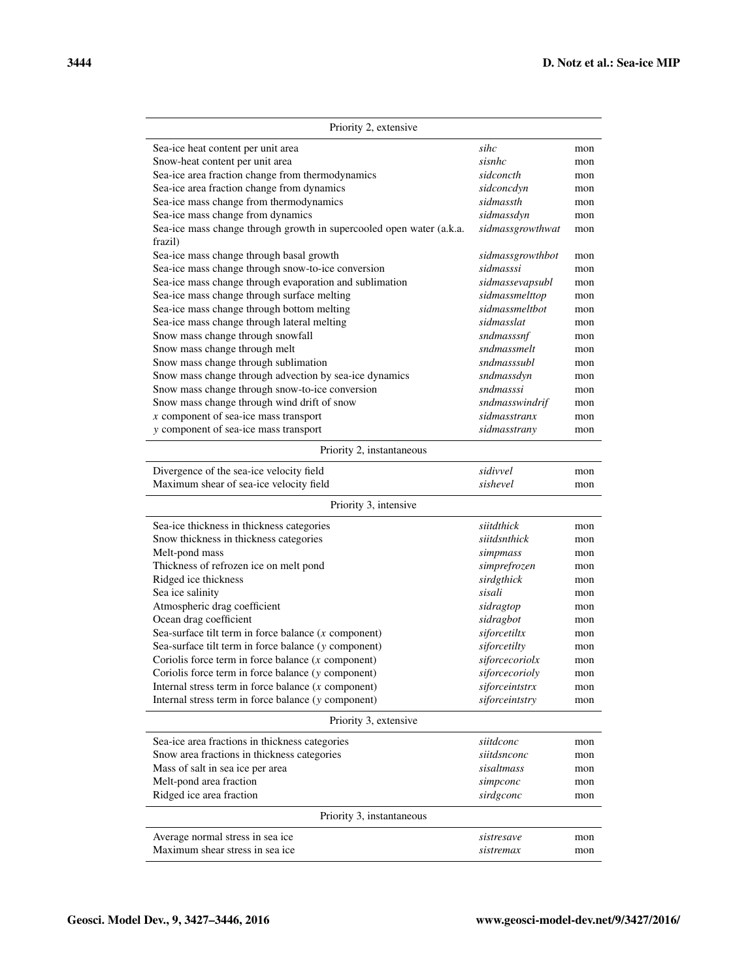| Priority 2, extensive                                                           |                  |     |  |  |
|---------------------------------------------------------------------------------|------------------|-----|--|--|
| Sea-ice heat content per unit area                                              | sihc             | mon |  |  |
| Snow-heat content per unit area                                                 | sisnhc           | mon |  |  |
| Sea-ice area fraction change from thermodynamics                                | sidconcth        | mon |  |  |
| Sea-ice area fraction change from dynamics                                      | sidconcdyn       | mon |  |  |
| Sea-ice mass change from thermodynamics                                         | sidmassth        | mon |  |  |
| Sea-ice mass change from dynamics                                               | sidmassdyn       | mon |  |  |
| Sea-ice mass change through growth in supercooled open water (a.k.a.<br>frazil) | sidmassgrowthwat | mon |  |  |
| Sea-ice mass change through basal growth                                        | sidmassgrowthbot | mon |  |  |
| Sea-ice mass change through snow-to-ice conversion                              | sidmasssi        | mon |  |  |
| Sea-ice mass change through evaporation and sublimation                         | sidmassevapsubl  | mon |  |  |
| Sea-ice mass change through surface melting                                     | sidmassmelttop   | mon |  |  |
| Sea-ice mass change through bottom melting                                      | sidmassmeltbot   | mon |  |  |
| Sea-ice mass change through lateral melting                                     | sidmasslat       | mon |  |  |
| Snow mass change through snowfall                                               | sndmasssnf       | mon |  |  |
| Snow mass change through melt                                                   | sndmassmelt      | mon |  |  |
| Snow mass change through sublimation                                            | sndmasssubl      | mon |  |  |
| Snow mass change through advection by sea-ice dynamics                          | sndmassdyn       | mon |  |  |
| Snow mass change through snow-to-ice conversion                                 | sndmasssi        | mon |  |  |
| Snow mass change through wind drift of snow                                     | sndmasswindrif   | mon |  |  |
| $x$ component of sea-ice mass transport                                         | sidmasstranx     | mon |  |  |
| y component of sea-ice mass transport                                           | sidmasstrany     | mon |  |  |
| Priority 2, instantaneous                                                       |                  |     |  |  |
| Divergence of the sea-ice velocity field                                        | sidivvel         | mon |  |  |
| Maximum shear of sea-ice velocity field                                         | sishevel         | mon |  |  |
| Priority 3, intensive                                                           |                  |     |  |  |
| Sea-ice thickness in thickness categories                                       | siitdthick       | mon |  |  |
| Snow thickness in thickness categories                                          | siitdsnthick     | mon |  |  |
| Melt-pond mass                                                                  | simpmass         | mon |  |  |
| Thickness of refrozen ice on melt pond                                          | simprefrozen     | mon |  |  |
| Ridged ice thickness                                                            | sirdgthick       | mon |  |  |
| Sea ice salinity                                                                | sisali           | mon |  |  |
| Atmospheric drag coefficient                                                    | sidragtop        | mon |  |  |
| Ocean drag coefficient                                                          | sidragbot        | mon |  |  |
| Sea-surface tilt term in force balance $(x$ component)                          | siforcetiltx     | mon |  |  |
| Sea-surface tilt term in force balance (y component)                            | siforcetilty     | mon |  |  |
| Coriolis force term in force balance $(x \text{ component})$                    | siforcecoriolx   | mon |  |  |
| Coriolis force term in force balance (y component)                              | siforcecorioly   | mon |  |  |
| Internal stress term in force balance $(x$ component)                           | siforceintstrx   | mon |  |  |
| Internal stress term in force balance (y component)                             | siforceintstry   | mon |  |  |
| Priority 3, extensive                                                           |                  |     |  |  |
| Sea-ice area fractions in thickness categories                                  | siitdconc        | mon |  |  |
| Snow area fractions in thickness categories                                     | siitdsnconc      | mon |  |  |
| Mass of salt in sea ice per area                                                | sisaltmass       | mon |  |  |
| Melt-pond area fraction                                                         | simpconc         | mon |  |  |
| Ridged ice area fraction                                                        | sirdgconc        | mon |  |  |
| Priority 3, instantaneous                                                       |                  |     |  |  |
| Average normal stress in sea ice                                                | sistresave       | mon |  |  |
| Maximum shear stress in sea ice                                                 | sistremax        | mon |  |  |
|                                                                                 |                  |     |  |  |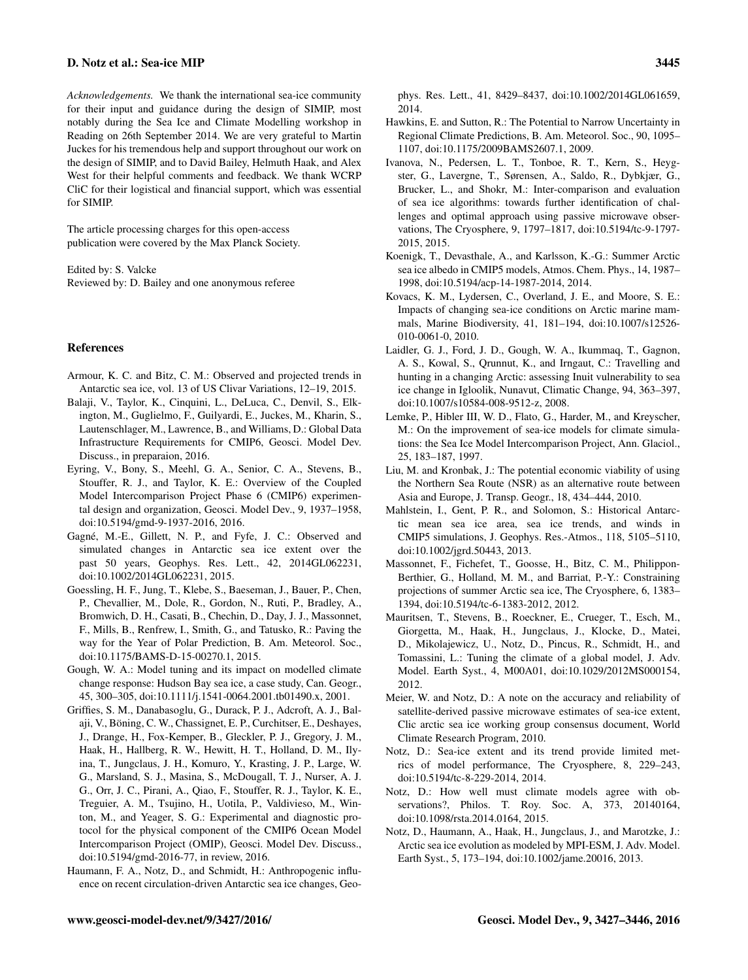*Acknowledgements.* We thank the international sea-ice community for their input and guidance during the design of SIMIP, most notably during the Sea Ice and Climate Modelling workshop in Reading on 26th September 2014. We are very grateful to Martin Juckes for his tremendous help and support throughout our work on the design of SIMIP, and to David Bailey, Helmuth Haak, and Alex West for their helpful comments and feedback. We thank WCRP CliC for their logistical and financial support, which was essential for SIMIP.

The article processing charges for this open-access publication were covered by the Max Planck Society.

Edited by: S. Valcke Reviewed by: D. Bailey and one anonymous referee

#### References

- <span id="page-18-15"></span>Armour, K. C. and Bitz, C. M.: Observed and projected trends in Antarctic sea ice, vol. 13 of US Clivar Variations, 12–19, 2015.
- <span id="page-18-21"></span>Balaji, V., Taylor, K., Cinquini, L., DeLuca, C., Denvil, S., Elkington, M., Guglielmo, F., Guilyardi, E., Juckes, M., Kharin, S., Lautenschlager, M., Lawrence, B., and Williams, D.: Global Data Infrastructure Requirements for CMIP6, Geosci. Model Dev. Discuss., in preparaion, 2016.
- <span id="page-18-7"></span>Eyring, V., Bony, S., Meehl, G. A., Senior, C. A., Stevens, B., Stouffer, R. J., and Taylor, K. E.: Overview of the Coupled Model Intercomparison Project Phase 6 (CMIP6) experimental design and organization, Geosci. Model Dev., 9, 1937–1958, doi[:10.5194/gmd-9-1937-2016,](http://dx.doi.org/10.5194/gmd-9-1937-2016) 2016.
- <span id="page-18-6"></span>Gagné, M.-E., Gillett, N. P., and Fyfe, J. C.: Observed and simulated changes in Antarctic sea ice extent over the past 50 years, Geophys. Res. Lett., 42, 2014GL062231, doi[:10.1002/2014GL062231,](http://dx.doi.org/10.1002/2014GL062231) 2015.
- <span id="page-18-18"></span>Goessling, H. F., Jung, T., Klebe, S., Baeseman, J., Bauer, P., Chen, P., Chevallier, M., Dole, R., Gordon, N., Ruti, P., Bradley, A., Bromwich, D. H., Casati, B., Chechin, D., Day, J. J., Massonnet, F., Mills, B., Renfrew, I., Smith, G., and Tatusko, R.: Paving the way for the Year of Polar Prediction, B. Am. Meteorol. Soc., doi[:10.1175/BAMS-D-15-00270.1,](http://dx.doi.org/10.1175/BAMS-D-15-00270.1) 2015.
- <span id="page-18-11"></span>Gough, W. A.: Model tuning and its impact on modelled climate change response: Hudson Bay sea ice, a case study, Can. Geogr., 45, 300–305, doi[:10.1111/j.1541-0064.2001.tb01490.x,](http://dx.doi.org/10.1111/j.1541-0064.2001.tb01490.x) 2001.
- <span id="page-18-20"></span>Griffies, S. M., Danabasoglu, G., Durack, P. J., Adcroft, A. J., Balaji, V., Böning, C. W., Chassignet, E. P., Curchitser, E., Deshayes, J., Drange, H., Fox-Kemper, B., Gleckler, P. J., Gregory, J. M., Haak, H., Hallberg, R. W., Hewitt, H. T., Holland, D. M., Ilyina, T., Jungclaus, J. H., Komuro, Y., Krasting, J. P., Large, W. G., Marsland, S. J., Masina, S., McDougall, T. J., Nurser, A. J. G., Orr, J. C., Pirani, A., Qiao, F., Stouffer, R. J., Taylor, K. E., Treguier, A. M., Tsujino, H., Uotila, P., Valdivieso, M., Winton, M., and Yeager, S. G.: Experimental and diagnostic protocol for the physical component of the CMIP6 Ocean Model Intercomparison Project (OMIP), Geosci. Model Dev. Discuss., doi[:10.5194/gmd-2016-77,](http://dx.doi.org/10.5194/gmd-2016-77) in review, 2016.
- <span id="page-18-14"></span>Haumann, F. A., Notz, D., and Schmidt, H.: Anthropogenic influence on recent circulation-driven Antarctic sea ice changes, Geo-

phys. Res. Lett., 41, 8429–8437, doi[:10.1002/2014GL061659,](http://dx.doi.org/10.1002/2014GL061659) 2014.

- <span id="page-18-16"></span>Hawkins, E. and Sutton, R.: The Potential to Narrow Uncertainty in Regional Climate Predictions, B. Am. Meteorol. Soc., 90, 1095– 1107, doi[:10.1175/2009BAMS2607.1,](http://dx.doi.org/10.1175/2009BAMS2607.1) 2009.
- <span id="page-18-5"></span>Ivanova, N., Pedersen, L. T., Tonboe, R. T., Kern, S., Heygster, G., Lavergne, T., Sørensen, A., Saldo, R., Dybkjær, G., Brucker, L., and Shokr, M.: Inter-comparison and evaluation of sea ice algorithms: towards further identification of challenges and optimal approach using passive microwave observations, The Cryosphere, 9, 1797–1817, doi[:10.5194/tc-9-1797-](http://dx.doi.org/10.5194/tc-9-1797-2015) [2015,](http://dx.doi.org/10.5194/tc-9-1797-2015) 2015.
- <span id="page-18-17"></span>Koenigk, T., Devasthale, A., and Karlsson, K.-G.: Summer Arctic sea ice albedo in CMIP5 models, Atmos. Chem. Phys., 14, 1987– 1998, doi[:10.5194/acp-14-1987-2014,](http://dx.doi.org/10.5194/acp-14-1987-2014) 2014.
- <span id="page-18-0"></span>Kovacs, K. M., Lydersen, C., Overland, J. E., and Moore, S. E.: Impacts of changing sea-ice conditions on Arctic marine mammals, Marine Biodiversity, 41, 181–194, doi[:10.1007/s12526-](http://dx.doi.org/10.1007/s12526-010-0061-0) [010-0061-0,](http://dx.doi.org/10.1007/s12526-010-0061-0) 2010.
- <span id="page-18-1"></span>Laidler, G. J., Ford, J. D., Gough, W. A., Ikummaq, T., Gagnon, A. S., Kowal, S., Qrunnut, K., and Irngaut, C.: Travelling and hunting in a changing Arctic: assessing Inuit vulnerability to sea ice change in Igloolik, Nunavut, Climatic Change, 94, 363–397, doi[:10.1007/s10584-008-9512-z,](http://dx.doi.org/10.1007/s10584-008-9512-z) 2008.
- <span id="page-18-9"></span>Lemke, P., Hibler III, W. D., Flato, G., Harder, M., and Kreyscher, M.: On the improvement of sea-ice models for climate simulations: the Sea Ice Model Intercomparison Project, Ann. Glaciol., 25, 183–187, 1997.
- <span id="page-18-2"></span>Liu, M. and Kronbak, J.: The potential economic viability of using the Northern Sea Route (NSR) as an alternative route between Asia and Europe, J. Transp. Geogr., 18, 434–444, 2010.
- <span id="page-18-10"></span>Mahlstein, I., Gent, P. R., and Solomon, S.: Historical Antarctic mean sea ice area, sea ice trends, and winds in CMIP5 simulations, J. Geophys. Res.-Atmos., 118, 5105–5110, doi[:10.1002/jgrd.50443,](http://dx.doi.org/10.1002/jgrd.50443) 2013.
- <span id="page-18-3"></span>Massonnet, F., Fichefet, T., Goosse, H., Bitz, C. M., Philippon-Berthier, G., Holland, M. M., and Barriat, P.-Y.: Constraining projections of summer Arctic sea ice, The Cryosphere, 6, 1383– 1394, doi[:10.5194/tc-6-1383-2012,](http://dx.doi.org/10.5194/tc-6-1383-2012) 2012.
- <span id="page-18-12"></span>Mauritsen, T., Stevens, B., Roeckner, E., Crueger, T., Esch, M., Giorgetta, M., Haak, H., Jungclaus, J., Klocke, D., Matei, D., Mikolajewicz, U., Notz, D., Pincus, R., Schmidt, H., and Tomassini, L.: Tuning the climate of a global model, J. Adv. Model. Earth Syst., 4, M00A01, doi[:10.1029/2012MS000154,](http://dx.doi.org/10.1029/2012MS000154) 2012.
- <span id="page-18-4"></span>Meier, W. and Notz, D.: A note on the accuracy and reliability of satellite-derived passive microwave estimates of sea-ice extent, Clic arctic sea ice working group consensus document, World Climate Research Program, 2010.
- <span id="page-18-19"></span>Notz, D.: Sea-ice extent and its trend provide limited metrics of model performance, The Cryosphere, 8, 229–243, doi[:10.5194/tc-8-229-2014,](http://dx.doi.org/10.5194/tc-8-229-2014) 2014.
- <span id="page-18-8"></span>Notz, D.: How well must climate models agree with observations?, Philos. T. Roy. Soc. A, 373, 20140164, doi[:10.1098/rsta.2014.0164,](http://dx.doi.org/10.1098/rsta.2014.0164) 2015.
- <span id="page-18-13"></span>Notz, D., Haumann, A., Haak, H., Jungclaus, J., and Marotzke, J.: Arctic sea ice evolution as modeled by MPI-ESM, J. Adv. Model. Earth Syst., 5, 173–194, doi[:10.1002/jame.20016,](http://dx.doi.org/10.1002/jame.20016) 2013.